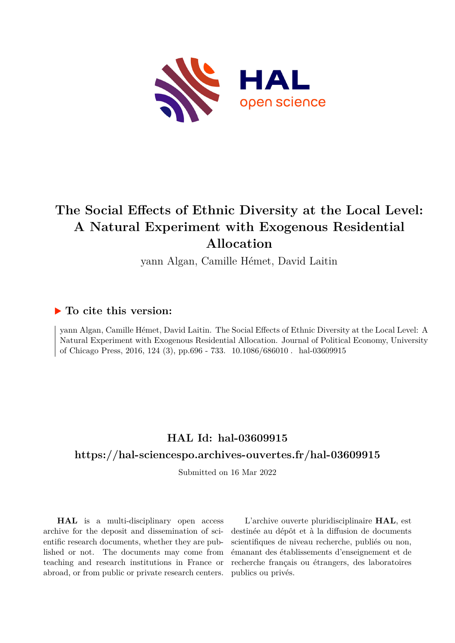

# **The Social Effects of Ethnic Diversity at the Local Level: A Natural Experiment with Exogenous Residential Allocation**

yann Algan, Camille Hémet, David Laitin

## **To cite this version:**

yann Algan, Camille Hémet, David Laitin. The Social Effects of Ethnic Diversity at the Local Level: A Natural Experiment with Exogenous Residential Allocation. Journal of Political Economy, University of Chicago Press, 2016, 124 (3), pp.696 - 733.  $10.1086/686010$ . hal-03609915

# **HAL Id: hal-03609915**

## **<https://hal-sciencespo.archives-ouvertes.fr/hal-03609915>**

Submitted on 16 Mar 2022

**HAL** is a multi-disciplinary open access archive for the deposit and dissemination of scientific research documents, whether they are published or not. The documents may come from teaching and research institutions in France or abroad, or from public or private research centers.

L'archive ouverte pluridisciplinaire **HAL**, est destinée au dépôt et à la diffusion de documents scientifiques de niveau recherche, publiés ou non, émanant des établissements d'enseignement et de recherche français ou étrangers, des laboratoires publics ou privés.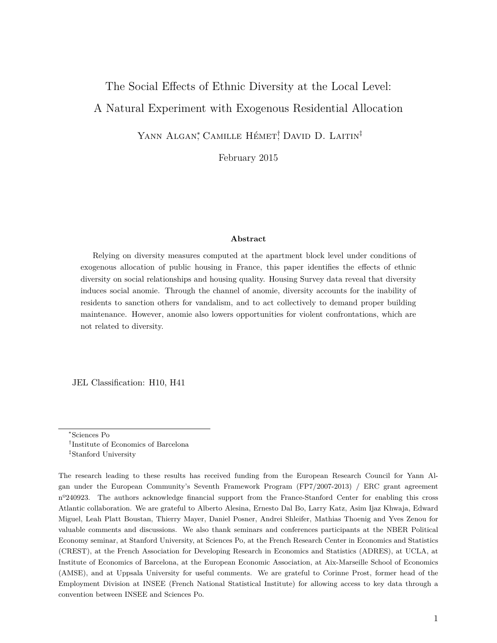# The Social Effects of Ethnic Diversity at the Local Level:

## A Natural Experiment with Exogenous Residential Allocation

YANN ALGAN<sup>\*</sup>, CAMILLE HÉMET<sup>†</sup>, DAVID D. LAITIN<sup>‡</sup>

February 2015

#### **Abstract**

Relying on diversity measures computed at the apartment block level under conditions of exogenous allocation of public housing in France, this paper identifies the effects of ethnic diversity on social relationships and housing quality. Housing Survey data reveal that diversity induces social anomie. Through the channel of anomie, diversity accounts for the inability of residents to sanction others for vandalism, and to act collectively to demand proper building maintenance. However, anomie also lowers opportunities for violent confrontations, which are not related to diversity.

JEL Classification: H10, H41

<sup>∗</sup>Sciences Po

<sup>†</sup> Institute of Economics of Barcelona

<sup>‡</sup>Stanford University

The research leading to these results has received funding from the European Research Council for Yann Algan under the European Community's Seventh Framework Program (FP7/2007-2013) / ERC grant agreement nº240923. The authors acknowledge financial support from the France-Stanford Center for enabling this cross Atlantic collaboration. We are grateful to Alberto Alesina, Ernesto Dal Bo, Larry Katz, Asim Ijaz Khwaja, Edward Miguel, Leah Platt Boustan, Thierry Mayer, Daniel Posner, Andrei Shleifer, Mathias Thoenig and Yves Zenou for valuable comments and discussions. We also thank seminars and conferences participants at the NBER Political Economy seminar, at Stanford University, at Sciences Po, at the French Research Center in Economics and Statistics (CREST), at the French Association for Developing Research in Economics and Statistics (ADRES), at UCLA, at Institute of Economics of Barcelona, at the European Economic Association, at Aix-Marseille School of Economics (AMSE), and at Uppsala University for useful comments. We are grateful to Corinne Prost, former head of the Employment Division at INSEE (French National Statistical Institute) for allowing access to key data through a convention between INSEE and Sciences Po.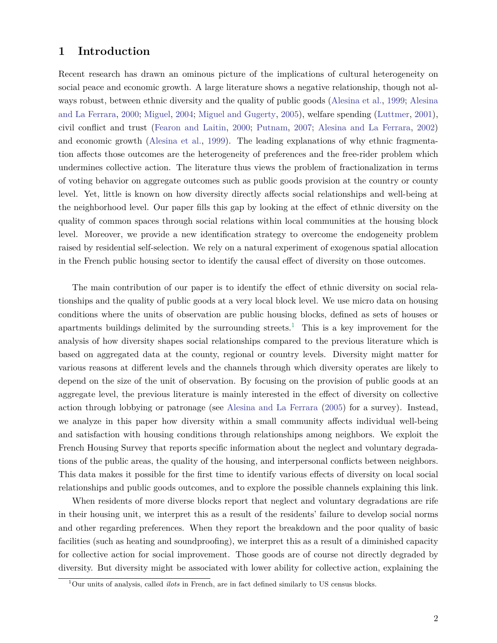## **1 Introduction**

Recent research has drawn an ominous picture of the implications of cultural heterogeneity on social peace and economic growth. A large literature shows a negative relationship, though not always robust, between ethnic diversity and the quality of public goods (Alesina et al., 1999; Alesina and La Ferrara, 2000; Miguel, 2004; Miguel and Gugerty, 2005), welfare spending (Luttmer, 2001), civil conflict and trust (Fearon and Laitin, 2000; Putnam, 2007; Alesina and La Ferrara, 2002) and economic growth (Alesina et al., 1999). The leading explanations of why ethnic fragmentation affects those outcomes are the heterogeneity of preferences and the free-rider problem which undermines collective action. The literature thus views the problem of fractionalization in terms of voting behavior on aggregate outcomes such as public goods provision at the country or county level. Yet, little is known on how diversity directly affects social relationships and well-being at the neighborhood level. Our paper fills this gap by looking at the effect of ethnic diversity on the quality of common spaces through social relations within local communities at the housing block level. Moreover, we provide a new identification strategy to overcome the endogeneity problem raised by residential self-selection. We rely on a natural experiment of exogenous spatial allocation in the French public housing sector to identify the causal effect of diversity on those outcomes.

The main contribution of our paper is to identify the effect of ethnic diversity on social relationships and the quality of public goods at a very local block level. We use micro data on housing conditions where the units of observation are public housing blocks, defined as sets of houses or apartments buildings delimited by the surrounding streets.<sup>1</sup> This is a key improvement for the analysis of how diversity shapes social relationships compared to the previous literature which is based on aggregated data at the county, regional or country levels. Diversity might matter for various reasons at different levels and the channels through which diversity operates are likely to depend on the size of the unit of observation. By focusing on the provision of public goods at an aggregate level, the previous literature is mainly interested in the effect of diversity on collective action through lobbying or patronage (see Alesina and La Ferrara (2005) for a survey). Instead, we analyze in this paper how diversity within a small community affects individual well-being and satisfaction with housing conditions through relationships among neighbors. We exploit the French Housing Survey that reports specific information about the neglect and voluntary degradations of the public areas, the quality of the housing, and interpersonal conflicts between neighbors. This data makes it possible for the first time to identify various effects of diversity on local social relationships and public goods outcomes, and to explore the possible channels explaining this link.

When residents of more diverse blocks report that neglect and voluntary degradations are rife in their housing unit, we interpret this as a result of the residents' failure to develop social norms and other regarding preferences. When they report the breakdown and the poor quality of basic facilities (such as heating and soundproofing), we interpret this as a result of a diminished capacity for collective action for social improvement. Those goods are of course not directly degraded by diversity. But diversity might be associated with lower ability for collective action, explaining the

<sup>1</sup>Our units of analysis, called *ilots* in French, are in fact defined similarly to US census blocks.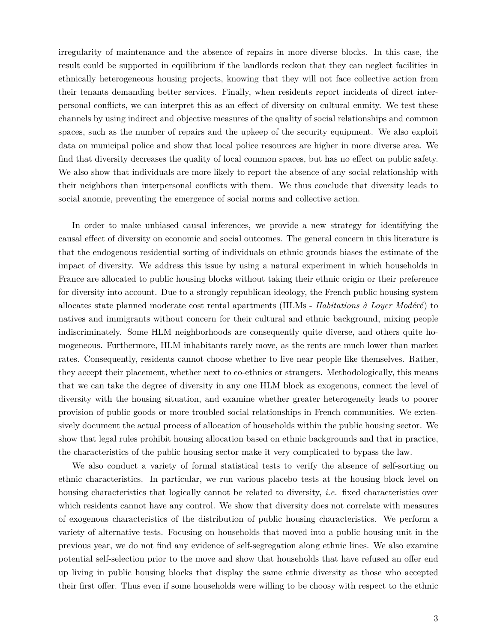irregularity of maintenance and the absence of repairs in more diverse blocks. In this case, the result could be supported in equilibrium if the landlords reckon that they can neglect facilities in ethnically heterogeneous housing projects, knowing that they will not face collective action from their tenants demanding better services. Finally, when residents report incidents of direct interpersonal conflicts, we can interpret this as an effect of diversity on cultural enmity. We test these channels by using indirect and objective measures of the quality of social relationships and common spaces, such as the number of repairs and the upkeep of the security equipment. We also exploit data on municipal police and show that local police resources are higher in more diverse area. We find that diversity decreases the quality of local common spaces, but has no effect on public safety. We also show that individuals are more likely to report the absence of any social relationship with their neighbors than interpersonal conflicts with them. We thus conclude that diversity leads to social anomie, preventing the emergence of social norms and collective action.

In order to make unbiased causal inferences, we provide a new strategy for identifying the causal effect of diversity on economic and social outcomes. The general concern in this literature is that the endogenous residential sorting of individuals on ethnic grounds biases the estimate of the impact of diversity. We address this issue by using a natural experiment in which households in France are allocated to public housing blocks without taking their ethnic origin or their preference for diversity into account. Due to a strongly republican ideology, the French public housing system allocates state planned moderate cost rental apartments (HLMs - *Habitations à Loyer Modéré*) to natives and immigrants without concern for their cultural and ethnic background, mixing people indiscriminately. Some HLM neighborhoods are consequently quite diverse, and others quite homogeneous. Furthermore, HLM inhabitants rarely move, as the rents are much lower than market rates. Consequently, residents cannot choose whether to live near people like themselves. Rather, they accept their placement, whether next to co-ethnics or strangers. Methodologically, this means that we can take the degree of diversity in any one HLM block as exogenous, connect the level of diversity with the housing situation, and examine whether greater heterogeneity leads to poorer provision of public goods or more troubled social relationships in French communities. We extensively document the actual process of allocation of households within the public housing sector. We show that legal rules prohibit housing allocation based on ethnic backgrounds and that in practice, the characteristics of the public housing sector make it very complicated to bypass the law.

We also conduct a variety of formal statistical tests to verify the absence of self-sorting on ethnic characteristics. In particular, we run various placebo tests at the housing block level on housing characteristics that logically cannot be related to diversity, *i.e.* fixed characteristics over which residents cannot have any control. We show that diversity does not correlate with measures of exogenous characteristics of the distribution of public housing characteristics. We perform a variety of alternative tests. Focusing on households that moved into a public housing unit in the previous year, we do not find any evidence of self-segregation along ethnic lines. We also examine potential self-selection prior to the move and show that households that have refused an offer end up living in public housing blocks that display the same ethnic diversity as those who accepted their first offer. Thus even if some households were willing to be choosy with respect to the ethnic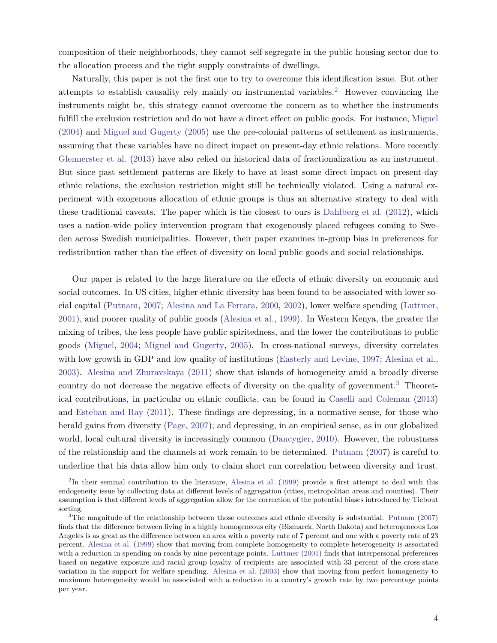composition of their neighborhoods, they cannot self-segregate in the public housing sector due to the allocation process and the tight supply constraints of dwellings.

Naturally, this paper is not the first one to try to overcome this identification issue. But other attempts to establish causality rely mainly on instrumental variables.2 However convincing the instruments might be, this strategy cannot overcome the concern as to whether the instruments fulfill the exclusion restriction and do not have a direct effect on public goods. For instance, Miguel (2004) and Miguel and Gugerty (2005) use the pre-colonial patterns of settlement as instruments, assuming that these variables have no direct impact on present-day ethnic relations. More recently Glennerster et al. (2013) have also relied on historical data of fractionalization as an instrument. But since past settlement patterns are likely to have at least some direct impact on present-day ethnic relations, the exclusion restriction might still be technically violated. Using a natural experiment with exogenous allocation of ethnic groups is thus an alternative strategy to deal with these traditional caveats. The paper which is the closest to ours is Dahlberg et al. (2012), which uses a nation-wide policy intervention program that exogenously placed refugees coming to Sweden across Swedish municipalities. However, their paper examines in-group bias in preferences for redistribution rather than the effect of diversity on local public goods and social relationships.

Our paper is related to the large literature on the effects of ethnic diversity on economic and social outcomes. In US cities, higher ethnic diversity has been found to be associated with lower social capital (Putnam, 2007; Alesina and La Ferrara, 2000, 2002), lower welfare spending (Luttmer, 2001), and poorer quality of public goods (Alesina et al., 1999). In Western Kenya, the greater the mixing of tribes, the less people have public spiritedness, and the lower the contributions to public goods (Miguel, 2004; Miguel and Gugerty, 2005). In cross-national surveys, diversity correlates with low growth in GDP and low quality of institutions (Easterly and Levine, 1997; Alesina et al., 2003). Alesina and Zhuravskaya (2011) show that islands of homogeneity amid a broadly diverse country do not decrease the negative effects of diversity on the quality of government.3 Theoretical contributions, in particular on ethnic conflicts, can be found in Caselli and Coleman (2013) and Esteban and Ray (2011). These findings are depressing, in a normative sense, for those who herald gains from diversity (Page, 2007); and depressing, in an empirical sense, as in our globalized world, local cultural diversity is increasingly common (Dancygier, 2010). However, the robustness of the relationship and the channels at work remain to be determined. Putnam (2007) is careful to underline that his data allow him only to claim short run correlation between diversity and trust.

<sup>&</sup>lt;sup>2</sup>In their seminal contribution to the literature, Alesina et al. (1999) provide a first attempt to deal with this endogeneity issue by collecting data at different levels of aggregation (cities, metropolitan areas and counties). Their assumption is that different levels of aggregation allow for the correction of the potential biases introduced by Tiebout sorting.

 $3$ The magnitude of the relationship between those outcomes and ethnic diversity is substantial. Putnam (2007) finds that the difference between living in a highly homogeneous city (Bismarck, North Dakota) and heterogeneous Los Angeles is as great as the difference between an area with a poverty rate of 7 percent and one with a poverty rate of 23 percent. Alesina et al. (1999) show that moving from complete homogeneity to complete heterogeneity is associated with a reduction in spending on roads by nine percentage points. Luttmer (2001) finds that interpersonal preferences based on negative exposure and racial group loyalty of recipients are associated with 33 percent of the cross-state variation in the support for welfare spending. Alesina et al. (2003) show that moving from perfect homogeneity to maximum heterogeneity would be associated with a reduction in a country's growth rate by two percentage points per year.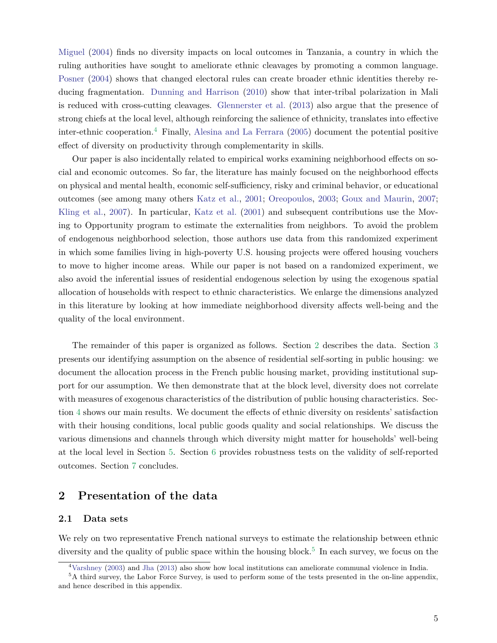Miguel (2004) finds no diversity impacts on local outcomes in Tanzania, a country in which the ruling authorities have sought to ameliorate ethnic cleavages by promoting a common language. Posner (2004) shows that changed electoral rules can create broader ethnic identities thereby reducing fragmentation. Dunning and Harrison (2010) show that inter-tribal polarization in Mali is reduced with cross-cutting cleavages. Glennerster et al. (2013) also argue that the presence of strong chiefs at the local level, although reinforcing the salience of ethnicity, translates into effective inter-ethnic cooperation.4 Finally, Alesina and La Ferrara (2005) document the potential positive effect of diversity on productivity through complementarity in skills.

Our paper is also incidentally related to empirical works examining neighborhood effects on social and economic outcomes. So far, the literature has mainly focused on the neighborhood effects on physical and mental health, economic self-sufficiency, risky and criminal behavior, or educational outcomes (see among many others Katz et al., 2001; Oreopoulos, 2003; Goux and Maurin, 2007; Kling et al., 2007). In particular, Katz et al. (2001) and subsequent contributions use the Moving to Opportunity program to estimate the externalities from neighbors. To avoid the problem of endogenous neighborhood selection, those authors use data from this randomized experiment in which some families living in high-poverty U.S. housing projects were offered housing vouchers to move to higher income areas. While our paper is not based on a randomized experiment, we also avoid the inferential issues of residential endogenous selection by using the exogenous spatial allocation of households with respect to ethnic characteristics. We enlarge the dimensions analyzed in this literature by looking at how immediate neighborhood diversity affects well-being and the quality of the local environment.

The remainder of this paper is organized as follows. Section 2 describes the data. Section 3 presents our identifying assumption on the absence of residential self-sorting in public housing: we document the allocation process in the French public housing market, providing institutional support for our assumption. We then demonstrate that at the block level, diversity does not correlate with measures of exogenous characteristics of the distribution of public housing characteristics. Section 4 shows our main results. We document the effects of ethnic diversity on residents' satisfaction with their housing conditions, local public goods quality and social relationships. We discuss the various dimensions and channels through which diversity might matter for households' well-being at the local level in Section 5. Section 6 provides robustness tests on the validity of self-reported outcomes. Section 7 concludes.

## **2 Presentation of the data**

#### **2.1 Data sets**

We rely on two representative French national surveys to estimate the relationship between ethnic diversity and the quality of public space within the housing block.<sup>5</sup> In each survey, we focus on the

<sup>4</sup>Varshney (2003) and Jha (2013) also show how local institutions can ameliorate communal violence in India.

<sup>&</sup>lt;sup>5</sup>A third survey, the Labor Force Survey, is used to perform some of the tests presented in the on-line appendix, and hence described in this appendix.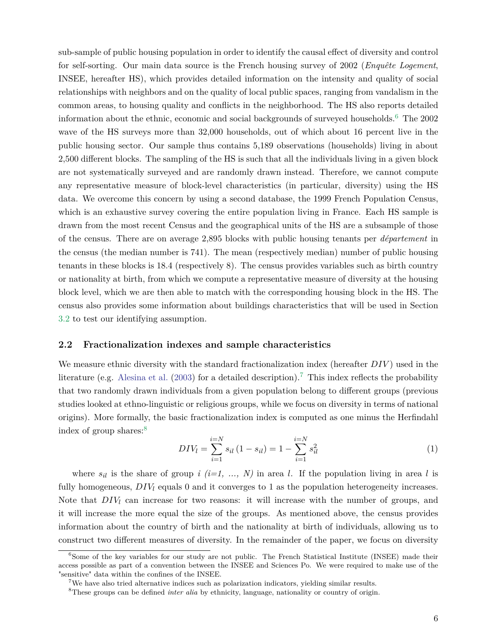sub-sample of public housing population in order to identify the causal effect of diversity and control for self-sorting. Our main data source is the French housing survey of 2002 (*Enquête Logement*, INSEE, hereafter HS), which provides detailed information on the intensity and quality of social relationships with neighbors and on the quality of local public spaces, ranging from vandalism in the common areas, to housing quality and conflicts in the neighborhood. The HS also reports detailed information about the ethnic, economic and social backgrounds of surveyed households.6 The 2002 wave of the HS surveys more than 32,000 households, out of which about 16 percent live in the public housing sector. Our sample thus contains 5,189 observations (households) living in about 2,500 different blocks. The sampling of the HS is such that all the individuals living in a given block are not systematically surveyed and are randomly drawn instead. Therefore, we cannot compute any representative measure of block-level characteristics (in particular, diversity) using the HS data. We overcome this concern by using a second database, the 1999 French Population Census, which is an exhaustive survey covering the entire population living in France. Each HS sample is drawn from the most recent Census and the geographical units of the HS are a subsample of those of the census. There are on average 2,895 blocks with public housing tenants per *département* in the census (the median number is 741). The mean (respectively median) number of public housing tenants in these blocks is 18.4 (respectively 8). The census provides variables such as birth country or nationality at birth, from which we compute a representative measure of diversity at the housing block level, which we are then able to match with the corresponding housing block in the HS. The census also provides some information about buildings characteristics that will be used in Section 3.2 to test our identifying assumption.

#### **2.2 Fractionalization indexes and sample characteristics**

We measure ethnic diversity with the standard fractionalization index (hereafter *DIV* ) used in the literature (e.g. Alesina et al. (2003) for a detailed description).<sup>7</sup> This index reflects the probability that two randomly drawn individuals from a given population belong to different groups (previous studies looked at ethno-linguistic or religious groups, while we focus on diversity in terms of national origins). More formally, the basic fractionalization index is computed as one minus the Herfindahl index of group shares:<sup>8</sup>

$$
DIV_l = \sum_{i=1}^{i=N} s_{il} (1 - s_{il}) = 1 - \sum_{i=1}^{i=N} s_{il}^2
$$
\n(1)

where  $s_{il}$  is the share of group *i* (*i*=1, ..., *N*) in area *l*. If the population living in area *l* is fully homogeneous,  $DIV<sub>l</sub>$  equals 0 and it converges to 1 as the population heterogeneity increases. Note that *DIV<sup>l</sup>* can increase for two reasons: it will increase with the number of groups, and it will increase the more equal the size of the groups. As mentioned above, the census provides information about the country of birth and the nationality at birth of individuals, allowing us to construct two different measures of diversity. In the remainder of the paper, we focus on diversity

<sup>&</sup>lt;sup>6</sup>Some of the key variables for our study are not public. The French Statistical Institute (INSEE) made their access possible as part of a convention between the INSEE and Sciences Po. We were required to make use of the "sensitive" data within the confines of the INSEE.

<sup>7</sup>We have also tried alternative indices such as polarization indicators, yielding similar results.

<sup>&</sup>lt;sup>8</sup>These groups can be defined *inter alia* by ethnicity, language, nationality or country of origin.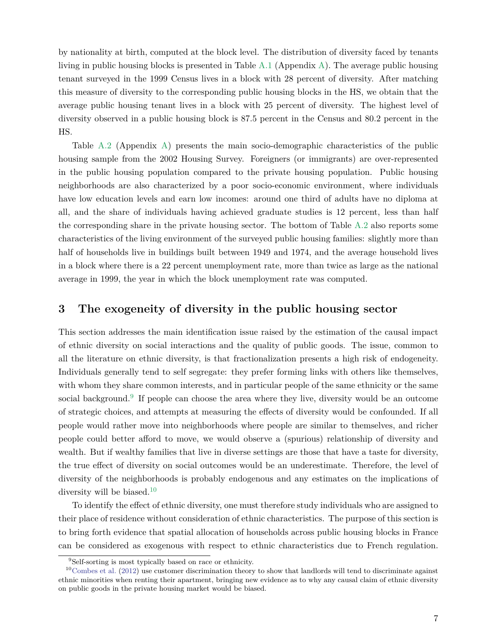by nationality at birth, computed at the block level. The distribution of diversity faced by tenants living in public housing blocks is presented in Table A.1 (Appendix A). The average public housing tenant surveyed in the 1999 Census lives in a block with 28 percent of diversity. After matching this measure of diversity to the corresponding public housing blocks in the HS, we obtain that the average public housing tenant lives in a block with 25 percent of diversity. The highest level of diversity observed in a public housing block is 87.5 percent in the Census and 80.2 percent in the HS.

Table A.2 (Appendix A) presents the main socio-demographic characteristics of the public housing sample from the 2002 Housing Survey. Foreigners (or immigrants) are over-represented in the public housing population compared to the private housing population. Public housing neighborhoods are also characterized by a poor socio-economic environment, where individuals have low education levels and earn low incomes: around one third of adults have no diploma at all, and the share of individuals having achieved graduate studies is 12 percent, less than half the corresponding share in the private housing sector. The bottom of Table A.2 also reports some characteristics of the living environment of the surveyed public housing families: slightly more than half of households live in buildings built between 1949 and 1974, and the average household lives in a block where there is a 22 percent unemployment rate, more than twice as large as the national average in 1999, the year in which the block unemployment rate was computed.

### **3 The exogeneity of diversity in the public housing sector**

This section addresses the main identification issue raised by the estimation of the causal impact of ethnic diversity on social interactions and the quality of public goods. The issue, common to all the literature on ethnic diversity, is that fractionalization presents a high risk of endogeneity. Individuals generally tend to self segregate: they prefer forming links with others like themselves, with whom they share common interests, and in particular people of the same ethnicity or the same social background.<sup>9</sup> If people can choose the area where they live, diversity would be an outcome of strategic choices, and attempts at measuring the effects of diversity would be confounded. If all people would rather move into neighborhoods where people are similar to themselves, and richer people could better afford to move, we would observe a (spurious) relationship of diversity and wealth. But if wealthy families that live in diverse settings are those that have a taste for diversity, the true effect of diversity on social outcomes would be an underestimate. Therefore, the level of diversity of the neighborhoods is probably endogenous and any estimates on the implications of diversity will be biased.<sup>10</sup>

To identify the effect of ethnic diversity, one must therefore study individuals who are assigned to their place of residence without consideration of ethnic characteristics. The purpose of this section is to bring forth evidence that spatial allocation of households across public housing blocks in France can be considered as exogenous with respect to ethnic characteristics due to French regulation.

<sup>9</sup>Self-sorting is most typically based on race or ethnicity.

 $10$ Combes et al. (2012) use customer discrimination theory to show that landlords will tend to discriminate against ethnic minorities when renting their apartment, bringing new evidence as to why any causal claim of ethnic diversity on public goods in the private housing market would be biased.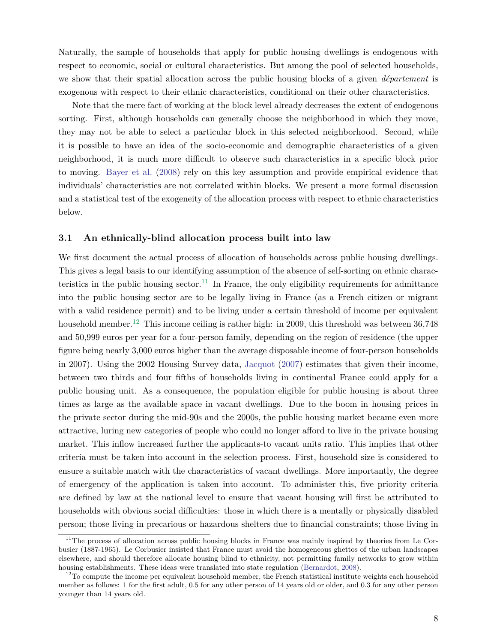Naturally, the sample of households that apply for public housing dwellings is endogenous with respect to economic, social or cultural characteristics. But among the pool of selected households, we show that their spatial allocation across the public housing blocks of a given *département* is exogenous with respect to their ethnic characteristics, conditional on their other characteristics.

Note that the mere fact of working at the block level already decreases the extent of endogenous sorting. First, although households can generally choose the neighborhood in which they move, they may not be able to select a particular block in this selected neighborhood. Second, while it is possible to have an idea of the socio-economic and demographic characteristics of a given neighborhood, it is much more difficult to observe such characteristics in a specific block prior to moving. Bayer et al. (2008) rely on this key assumption and provide empirical evidence that individuals' characteristics are not correlated within blocks. We present a more formal discussion and a statistical test of the exogeneity of the allocation process with respect to ethnic characteristics below.

#### **3.1 An ethnically-blind allocation process built into law**

We first document the actual process of allocation of households across public housing dwellings. This gives a legal basis to our identifying assumption of the absence of self-sorting on ethnic characteristics in the public housing sector.<sup>11</sup> In France, the only eligibility requirements for admittance into the public housing sector are to be legally living in France (as a French citizen or migrant with a valid residence permit) and to be living under a certain threshold of income per equivalent household member.<sup>12</sup> This income ceiling is rather high: in 2009, this threshold was between 36,748 and 50,999 euros per year for a four-person family, depending on the region of residence (the upper figure being nearly 3,000 euros higher than the average disposable income of four-person households in 2007). Using the 2002 Housing Survey data, Jacquot (2007) estimates that given their income, between two thirds and four fifths of households living in continental France could apply for a public housing unit. As a consequence, the population eligible for public housing is about three times as large as the available space in vacant dwellings. Due to the boom in housing prices in the private sector during the mid-90s and the 2000s, the public housing market became even more attractive, luring new categories of people who could no longer afford to live in the private housing market. This inflow increased further the applicants-to vacant units ratio. This implies that other criteria must be taken into account in the selection process. First, household size is considered to ensure a suitable match with the characteristics of vacant dwellings. More importantly, the degree of emergency of the application is taken into account. To administer this, five priority criteria are defined by law at the national level to ensure that vacant housing will first be attributed to households with obvious social difficulties: those in which there is a mentally or physically disabled person; those living in precarious or hazardous shelters due to financial constraints; those living in

<sup>&</sup>lt;sup>11</sup>The process of allocation across public housing blocks in France was mainly inspired by theories from Le Corbusier (1887-1965). Le Corbusier insisted that France must avoid the homogeneous ghettos of the urban landscapes elsewhere, and should therefore allocate housing blind to ethnicity, not permitting family networks to grow within housing establishments. These ideas were translated into state regulation (Bernardot, 2008).

 $12$ To compute the income per equivalent household member, the French statistical institute weights each household member as follows: 1 for the first adult, 0.5 for any other person of 14 years old or older, and 0.3 for any other person younger than 14 years old.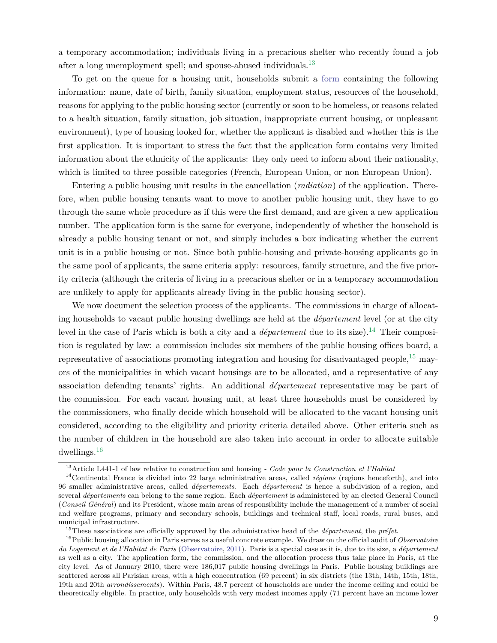a temporary accommodation; individuals living in a precarious shelter who recently found a job after a long unemployment spell; and spouse-abused individuals.<sup>13</sup>

To get on the queue for a housing unit, households submit a [form](https://www.formulaires.modernisation.gouv.fr/gf/cerfa_14069.do) containing the following information: name, date of birth, family situation, employment status, resources of the household, reasons for applying to the public housing sector (currently or soon to be homeless, or reasons related to a health situation, family situation, job situation, inappropriate current housing, or unpleasant environment), type of housing looked for, whether the applicant is disabled and whether this is the first application. It is important to stress the fact that the application form contains very limited information about the ethnicity of the applicants: they only need to inform about their nationality, which is limited to three possible categories (French, European Union, or non European Union).

Entering a public housing unit results in the cancellation (*radiation*) of the application. Therefore, when public housing tenants want to move to another public housing unit, they have to go through the same whole procedure as if this were the first demand, and are given a new application number. The application form is the same for everyone, independently of whether the household is already a public housing tenant or not, and simply includes a box indicating whether the current unit is in a public housing or not. Since both public-housing and private-housing applicants go in the same pool of applicants, the same criteria apply: resources, family structure, and the five priority criteria (although the criteria of living in a precarious shelter or in a temporary accommodation are unlikely to apply for applicants already living in the public housing sector).

We now document the selection process of the applicants. The commissions in charge of allocating households to vacant public housing dwellings are held at the *département* level (or at the city level in the case of Paris which is both a city and a *département* due to its size).<sup>14</sup> Their composition is regulated by law: a commission includes six members of the public housing offices board, a representative of associations promoting integration and housing for disadvantaged people,  $^{15}$  mayors of the municipalities in which vacant housings are to be allocated, and a representative of any association defending tenants' rights. An additional *département* representative may be part of the commission. For each vacant housing unit, at least three households must be considered by the commissioners, who finally decide which household will be allocated to the vacant housing unit considered, according to the eligibility and priority criteria detailed above. Other criteria such as the number of children in the household are also taken into account in order to allocate suitable dwellings.16

<sup>13</sup>Article L441-1 of law relative to construction and housing *- Code pour la Construction et l'Habitat*

<sup>14</sup>Continental France is divided into 22 large administrative areas, called *régions* (regions henceforth), and into 96 smaller administrative areas, called *départements*. Each *département* is hence a subdivision of a region, and several *départements* can belong to the same region. Each *département* is administered by an elected General Council (*Conseil Général*) and its President, whose main areas of responsibility include the management of a number of social and welfare programs, primary and secondary schools, buildings and technical staff, local roads, rural buses, and municipal infrastructure.

<sup>15</sup>These associations are officially approved by the administrative head of the *département*, the *préfet*.

<sup>16</sup>Public housing allocation in Paris serves as a useful concrete example. We draw on the official audit of *Observatoire du Logement et de l'Habitat de Paris* (Observatoire, 2011). Paris is a special case as it is, due to its size, a *département* as well as a city. The application form, the commission, and the allocation process thus take place in Paris, at the city level. As of January 2010, there were 186,017 public housing dwellings in Paris. Public housing buildings are scattered across all Parisian areas, with a high concentration (69 percent) in six districts (the 13th, 14th, 15th, 18th, 19th and 20th *arrondissements*). Within Paris, 48.7 percent of households are under the income ceiling and could be theoretically eligible. In practice, only households with very modest incomes apply (71 percent have an income lower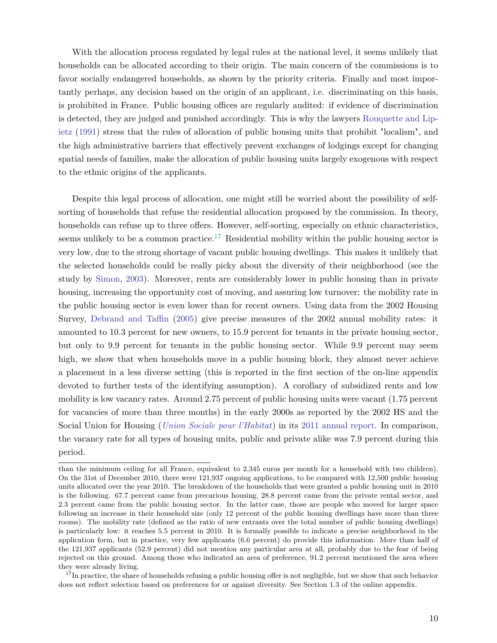With the allocation process regulated by legal rules at the national level, it seems unlikely that households can be allocated according to their origin. The main concern of the commissions is to favor socially endangered households, as shown by the priority criteria. Finally and most importantly perhaps, any decision based on the origin of an applicant, i.e. discriminating on this basis, is prohibited in France. Public housing offices are regularly audited: if evidence of discrimination is detected, they are judged and punished accordingly. This is why the lawyers Rouquette and Lipietz (1991) stress that the rules of allocation of public housing units that prohibit "localism", and the high administrative barriers that effectively prevent exchanges of lodgings except for changing spatial needs of families, make the allocation of public housing units largely exogenous with respect to the ethnic origins of the applicants.

Despite this legal process of allocation, one might still be worried about the possibility of selfsorting of households that refuse the residential allocation proposed by the commission. In theory, households can refuse up to three offers. However, self-sorting, especially on ethnic characteristics, seems unlikely to be a common practice.<sup>17</sup> Residential mobility within the public housing sector is very low, due to the strong shortage of vacant public housing dwellings. This makes it unlikely that the selected households could be really picky about the diversity of their neighborhood (see the study by Simon, 2003). Moreover, rents are considerably lower in public housing than in private housing, increasing the opportunity cost of moving, and assuring low turnover: the mobility rate in the public housing sector is even lower than for recent owners. Using data from the 2002 Housing Survey, Debrand and Taffin (2005) give precise measures of the 2002 annual mobility rates: it amounted to 10.3 percent for new owners, to 15.9 percent for tenants in the private housing sector, but only to 9.9 percent for tenants in the public housing sector. While 9.9 percent may seem high, we show that when households move in a public housing block, they almost never achieve a placement in a less diverse setting (this is reported in the first section of the on-line appendix devoted to further tests of the identifying assumption). A corollary of subsidized rents and low mobility is low vacancy rates. Around 2.75 percent of public housing units were vacant (1.75 percent for vacancies of more than three months) in the early 2000s as reported by the 2002 HS and the Social Union for Housing (*[Union Sociale pour l'Habitat](http://www.union-habitat.org/)*) in its [2011 annual report.](http://www.union-habitat.org/sites/default/files/Donn�es statistiques 2011.pdf) In comparison, the vacancy rate for all types of housing units, public and private alike was 7.9 percent during this period.

than the minimum ceiling for all France, equivalent to 2,345 euros per month for a household with two children). On the 31st of December 2010, there were 121,937 ongoing applications, to be compared with 12,500 public housing units allocated over the year 2010. The breakdown of the households that were granted a public housing unit in 2010 is the following. 67.7 percent came from precarious housing, 28.8 percent came from the private rental sector, and 2.3 percent came from the public housing sector. In the latter case, those are people who moved for larger space following an increase in their household size (only 12 percent of the public housing dwellings have more than three rooms). The mobility rate (defined as the ratio of new entrants over the total number of public housing dwellings) is particularly low: it reaches 5.5 percent in 2010. It is formally possible to indicate a precise neighborhood in the application form, but in practice, very few applicants (6.6 percent) do provide this information. More than half of the 121,937 applicants (52.9 percent) did not mention any particular area at all, probably due to the fear of being rejected on this ground. Among those who indicated an area of preference, 91.2 percent mentioned the area where they were already living.

<sup>&</sup>lt;sup>17</sup>In practice, the share of households refusing a public housing offer is not negligible, but we show that such behavior does not reflect selection based on preferences for or against diversity. See Section 1.3 of the online appendix.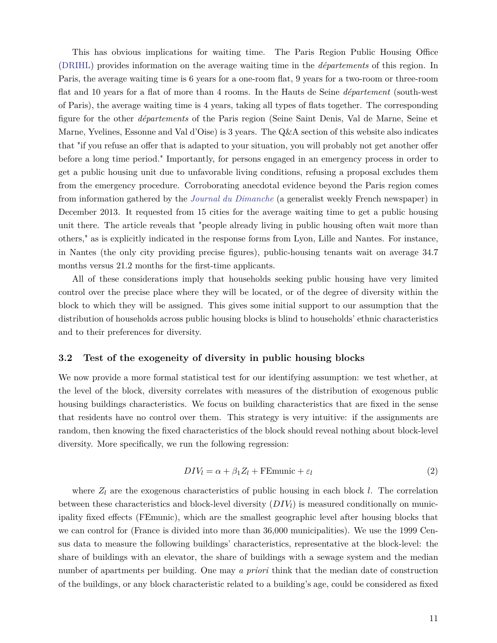This has obvious implications for waiting time. The Paris Region Public Housing Office [\(DRIHL\)](http://www.drihl.ile-de-france.developpement-durable.gouv.fr) provides information on the average waiting time in the *départements* of this region. In Paris, the average waiting time is 6 years for a one-room flat, 9 years for a two-room or three-room flat and 10 years for a flat of more than 4 rooms. In the Hauts de Seine *département* (south-west of Paris), the average waiting time is 4 years, taking all types of flats together. The corresponding figure for the other *départements* of the Paris region (Seine Saint Denis, Val de Marne, Seine et Marne, Yvelines, Essonne and Val d'Oise) is 3 years. The Q&A section of this website also indicates that "if you refuse an offer that is adapted to your situation, you will probably not get another offer before a long time period." Importantly, for persons engaged in an emergency process in order to get a public housing unit due to unfavorable living conditions, refusing a proposal excludes them from the emergency procedure. Corroborating anecdotal evidence beyond the Paris region comes from information gathered by the *[Journal du Dimanche](http://www.lejdd.fr/Societe/Social/La-grande-pagaille-du-logement-social-en-France-645151)* (a generalist weekly French newspaper) in December 2013. It requested from 15 cities for the average waiting time to get a public housing unit there. The article reveals that "people already living in public housing often wait more than others," as is explicitly indicated in the response forms from Lyon, Lille and Nantes. For instance, in Nantes (the only city providing precise figures), public-housing tenants wait on average 34.7 months versus 21.2 months for the first-time applicants.

All of these considerations imply that households seeking public housing have very limited control over the precise place where they will be located, or of the degree of diversity within the block to which they will be assigned. This gives some initial support to our assumption that the distribution of households across public housing blocks is blind to households' ethnic characteristics and to their preferences for diversity.

#### **3.2 Test of the exogeneity of diversity in public housing blocks**

We now provide a more formal statistical test for our identifying assumption: we test whether, at the level of the block, diversity correlates with measures of the distribution of exogenous public housing buildings characteristics. We focus on building characteristics that are fixed in the sense that residents have no control over them. This strategy is very intuitive: if the assignments are random, then knowing the fixed characteristics of the block should reveal nothing about block-level diversity. More specifically, we run the following regression:

$$
DIV_l = \alpha + \beta_1 Z_l + \text{FEmunic} + \varepsilon_l \tag{2}
$$

where  $Z_l$  are the exogenous characteristics of public housing in each block *l*. The correlation between these characteristics and block-level diversity (*DIVl*) is measured conditionally on municipality fixed effects (FEmunic), which are the smallest geographic level after housing blocks that we can control for (France is divided into more than 36,000 municipalities). We use the 1999 Census data to measure the following buildings' characteristics, representative at the block-level: the share of buildings with an elevator, the share of buildings with a sewage system and the median number of apartments per building. One may *a priori* think that the median date of construction of the buildings, or any block characteristic related to a building's age, could be considered as fixed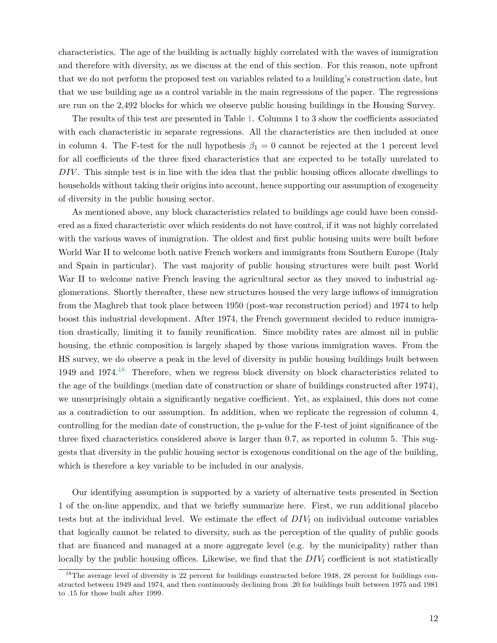characteristics. The age of the building is actually highly correlated with the waves of immigration and therefore with diversity, as we discuss at the end of this section. For this reason, note upfront that we do not perform the proposed test on variables related to a building's construction date, but that we use building age as a control variable in the main regressions of the paper. The regressions are run on the 2,492 blocks for which we observe public housing buildings in the Housing Survey.

The results of this test are presented in Table 1. Columns 1 to 3 show the coefficients associated with each characteristic in separate regressions. All the characteristics are then included at once in column 4. The F-test for the null hypothesis  $\beta_1 = 0$  cannot be rejected at the 1 percent level for all coefficients of the three fixed characteristics that are expected to be totally unrelated to *DIV* . This simple test is in line with the idea that the public housing offices allocate dwellings to households without taking their origins into account, hence supporting our assumption of exogeneity of diversity in the public housing sector.

As mentioned above, any block characteristics related to buildings age could have been considered as a fixed characteristic over which residents do not have control, if it was not highly correlated with the various waves of immigration. The oldest and first public housing units were built before World War II to welcome both native French workers and immigrants from Southern Europe (Italy and Spain in particular). The vast majority of public housing structures were built post World War II to welcome native French leaving the agricultural sector as they moved to industrial agglomerations. Shortly thereafter, these new structures housed the very large inflows of immigration from the Maghreb that took place between 1950 (post-war reconstruction period) and 1974 to help boost this industrial development. After 1974, the French government decided to reduce immigration drastically, limiting it to family reunification. Since mobility rates are almost nil in public housing, the ethnic composition is largely shaped by those various immigration waves. From the HS survey, we do observe a peak in the level of diversity in public housing buildings built between 1949 and 1974.18 Therefore, when we regress block diversity on block characteristics related to the age of the buildings (median date of construction or share of buildings constructed after 1974), we unsurprisingly obtain a significantly negative coefficient. Yet, as explained, this does not come as a contradiction to our assumption. In addition, when we replicate the regression of column 4, controlling for the median date of construction, the p-value for the F-test of joint significance of the three fixed characteristics considered above is larger than 0.7, as reported in column 5. This suggests that diversity in the public housing sector is exogenous conditional on the age of the building, which is therefore a key variable to be included in our analysis.

Our identifying assumption is supported by a variety of alternative tests presented in Section 1 of the on-line appendix, and that we briefly summarize here. First, we run additional placebo tests but at the individual level. We estimate the effect of *DIV<sup>l</sup>* on individual outcome variables that logically cannot be related to diversity, such as the perception of the quality of public goods that are financed and managed at a more aggregate level (e.g. by the municipality) rather than locally by the public housing offices. Likewise, we find that the *DIV<sup>l</sup>* coefficient is not statistically

<sup>&</sup>lt;sup>18</sup>The average level of diversity is 22 percent for buildings constructed before 1948, 28 percent for buildings constructed between 1949 and 1974, and then continuously declining from .20 for buildings built between 1975 and 1981 to .15 for those built after 1999.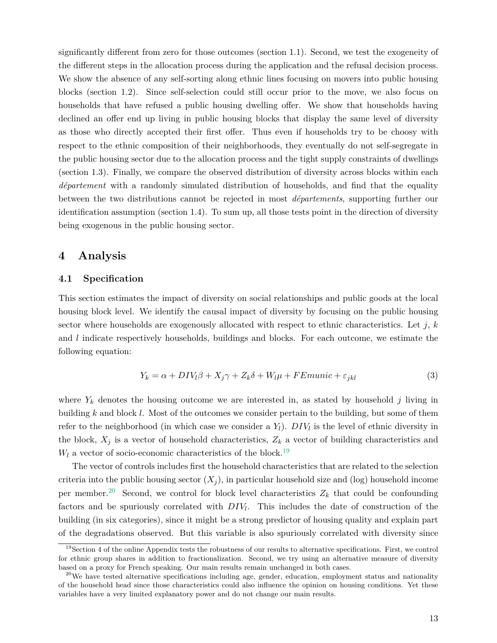significantly different from zero for those outcomes (section 1.1). Second, we test the exogeneity of the different steps in the allocation process during the application and the refusal decision process. We show the absence of any self-sorting along ethnic lines focusing on movers into public housing blocks (section 1.2). Since self-selection could still occur prior to the move, we also focus on households that have refused a public housing dwelling offer. We show that households having declined an offer end up living in public housing blocks that display the same level of diversity as those who directly accepted their first offer. Thus even if households try to be choosy with respect to the ethnic composition of their neighborhoods, they eventually do not self-segregate in the public housing sector due to the allocation process and the tight supply constraints of dwellings (section 1.3). Finally, we compare the observed distribution of diversity across blocks within each *département* with a randomly simulated distribution of households, and find that the equality between the two distributions cannot be rejected in most *départements*, supporting further our identification assumption (section 1.4). To sum up, all those tests point in the direction of diversity being exogenous in the public housing sector.

### **4 Analysis**

#### **4.1 Specification**

This section estimates the impact of diversity on social relationships and public goods at the local housing block level. We identify the causal impact of diversity by focusing on the public housing sector where households are exogenously allocated with respect to ethnic characteristics. Let *j*, *k* and *l* indicate respectively households, buildings and blocks. For each outcome, we estimate the following equation:

$$
Y_k = \alpha + DIV_l \beta + X_j \gamma + Z_k \delta + W_l \mu + FEmunic + \varepsilon_{jkl}
$$
\n<sup>(3)</sup>

where  $Y_k$  denotes the housing outcome we are interested in, as stated by household *j* living in building *k* and block *l*. Most of the outcomes we consider pertain to the building, but some of them refer to the neighborhood (in which case we consider a *Yl*). *DIV<sup>l</sup>* is the level of ethnic diversity in the block,  $X_j$  is a vector of household characteristics,  $Z_k$  a vector of building characteristics and  $W_l$  a vector of socio-economic characteristics of the block.<sup>19</sup>

The vector of controls includes first the household characteristics that are related to the selection criteria into the public housing sector  $(X_i)$ , in particular household size and (log) household income per member.<sup>20</sup> Second, we control for block level characteristics  $Z_k$  that could be confounding factors and be spuriously correlated with *DIV<sup>l</sup>* . This includes the date of construction of the building (in six categories), since it might be a strong predictor of housing quality and explain part of the degradations observed. But this variable is also spuriously correlated with diversity since

 $19$ Section 4 of the online Appendix tests the robustness of our results to alternative specifications. First, we control for ethnic group shares in addition to fractionalization. Second, we try using an alternative measure of diversity based on a proxy for French speaking. Our main results remain unchanged in both cases.

 $^{20}$ We have tested alternative specifications including age, gender, education, employment status and nationality of the household head since those characteristics could also influence the opinion on housing conditions. Yet these variables have a very limited explanatory power and do not change our main results.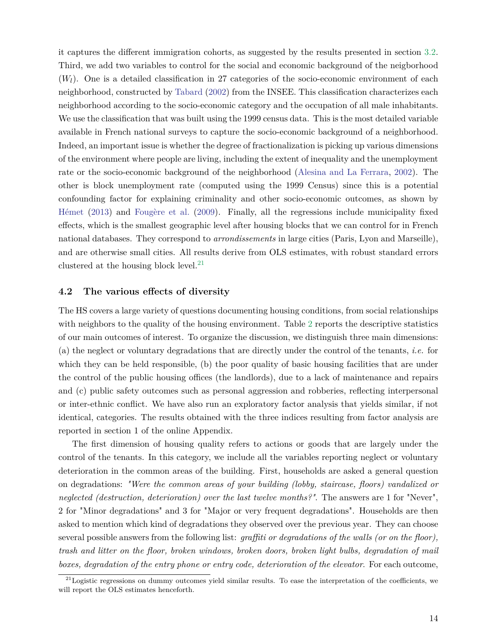it captures the different immigration cohorts, as suggested by the results presented in section 3.2. Third, we add two variables to control for the social and economic background of the neigborhood  $(W_l)$ . One is a detailed classification in 27 categories of the socio-economic environment of each neighborhood, constructed by Tabard (2002) from the INSEE. This classification characterizes each neighborhood according to the socio-economic category and the occupation of all male inhabitants. We use the classification that was built using the 1999 census data. This is the most detailed variable available in French national surveys to capture the socio-economic background of a neighborhood. Indeed, an important issue is whether the degree of fractionalization is picking up various dimensions of the environment where people are living, including the extent of inequality and the unemployment rate or the socio-economic background of the neighborhood (Alesina and La Ferrara, 2002). The other is block unemployment rate (computed using the 1999 Census) since this is a potential confounding factor for explaining criminality and other socio-economic outcomes, as shown by Hémet (2013) and Fougère et al. (2009). Finally, all the regressions include municipality fixed effects, which is the smallest geographic level after housing blocks that we can control for in French national databases. They correspond to *arrondissements* in large cities (Paris, Lyon and Marseille), and are otherwise small cities. All results derive from OLS estimates, with robust standard errors clustered at the housing block level.<sup>21</sup>

#### **4.2 The various effects of diversity**

The HS covers a large variety of questions documenting housing conditions, from social relationships with neighbors to the quality of the housing environment. Table 2 reports the descriptive statistics of our main outcomes of interest. To organize the discussion, we distinguish three main dimensions: (a) the neglect or voluntary degradations that are directly under the control of the tenants, *i.e.* for which they can be held responsible, (b) the poor quality of basic housing facilities that are under the control of the public housing offices (the landlords), due to a lack of maintenance and repairs and (c) public safety outcomes such as personal aggression and robberies, reflecting interpersonal or inter-ethnic conflict. We have also run an exploratory factor analysis that yields similar, if not identical, categories. The results obtained with the three indices resulting from factor analysis are reported in section 1 of the online Appendix.

The first dimension of housing quality refers to actions or goods that are largely under the control of the tenants. In this category, we include all the variables reporting neglect or voluntary deterioration in the common areas of the building. First, households are asked a general question on degradations: *"Were the common areas of your building (lobby, staircase, floors) vandalized or neglected (destruction, deterioration) over the last twelve months?"*. The answers are 1 for "Never", 2 for "Minor degradations" and 3 for "Major or very frequent degradations". Households are then asked to mention which kind of degradations they observed over the previous year. They can choose several possible answers from the following list: *graffiti or degradations of the walls (or on the floor), trash and litter on the floor, broken windows, broken doors, broken light bulbs, degradation of mail boxes, degradation of the entry phone or entry code, deterioration of the elevator*. For each outcome,

 $21$ Logistic regressions on dummy outcomes yield similar results. To ease the interpretation of the coefficients, we will report the OLS estimates henceforth.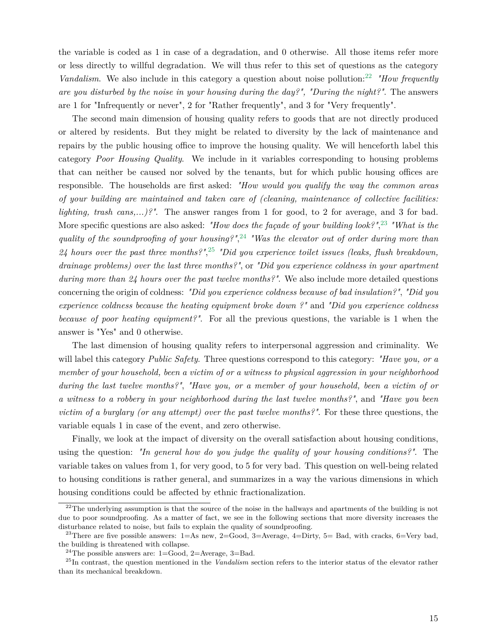the variable is coded as 1 in case of a degradation, and 0 otherwise. All those items refer more or less directly to willful degradation. We will thus refer to this set of questions as the category *Vandalism.* We also include in this category a question about noise pollution:<sup>22</sup> *"How frequently are you disturbed by the noise in your housing during the day?", "During the night?"*. The answers are 1 for "Infrequently or never", 2 for "Rather frequently", and 3 for "Very frequently".

The second main dimension of housing quality refers to goods that are not directly produced or altered by residents. But they might be related to diversity by the lack of maintenance and repairs by the public housing office to improve the housing quality. We will henceforth label this category *Poor Housing Quality*. We include in it variables corresponding to housing problems that can neither be caused nor solved by the tenants, but for which public housing offices are responsible. The households are first asked: *"How would you qualify the way the common areas of your building are maintained and taken care of (cleaning, maintenance of collective facilities: lighting, trash cans,...)?"*. The answer ranges from 1 for good, to 2 for average, and 3 for bad. More specific questions are also asked: *"How does the façade of your building look?"*, 23 *"What is the quality of the soundproofing of your housing?"*, 24 *"Was the elevator out of order during more than 24 hours over the past three months?"*, 25 *"Did you experience toilet issues (leaks, flush breakdown, drainage problems) over the last three months?"*, or *"Did you experience coldness in your apartment during more than 24 hours over the past twelve months?"*. We also include more detailed questions concerning the origin of coldness: *"Did you experience coldness because of bad insulation?"*, *"Did you experience coldness because the heating equipment broke down ?"* and *"Did you experience coldness because of poor heating equipment?"*. For all the previous questions, the variable is 1 when the answer is "Yes" and 0 otherwise.

The last dimension of housing quality refers to interpersonal aggression and criminality. We will label this category *Public Safety*. Three questions correspond to this category: *"Have you, or a member of your household, been a victim of or a witness to physical aggression in your neighborhood during the last twelve months?"*, *"Have you, or a member of your household, been a victim of or a witness to a robbery in your neighborhood during the last twelve months?"*, and *"Have you been victim of a burglary (or any attempt) over the past twelve months?"*. For these three questions, the variable equals 1 in case of the event, and zero otherwise.

Finally, we look at the impact of diversity on the overall satisfaction about housing conditions, using the question: *"In general how do you judge the quality of your housing conditions?"*. The variable takes on values from 1, for very good, to 5 for very bad. This question on well-being related to housing conditions is rather general, and summarizes in a way the various dimensions in which housing conditions could be affected by ethnic fractionalization.

 $22$ The underlying assumption is that the source of the noise in the hallways and apartments of the building is not due to poor soundproofing. As a matter of fact, we see in the following sections that more diversity increases the disturbance related to noise, but fails to explain the quality of soundproofing.

<sup>&</sup>lt;sup>23</sup>There are five possible answers:  $1=As$  new,  $2=Good$ ,  $3=Average$ ,  $4=Dirty$ ,  $5=Bad$ , with cracks,  $6=Very$  bad, the building is threatened with collapse.

<sup>&</sup>lt;sup>24</sup>The possible answers are:  $1=$ Good,  $2=$ Average,  $3=$ Bad.

<sup>25</sup>In contrast, the question mentioned in the *Vandalism* section refers to the interior status of the elevator rather than its mechanical breakdown.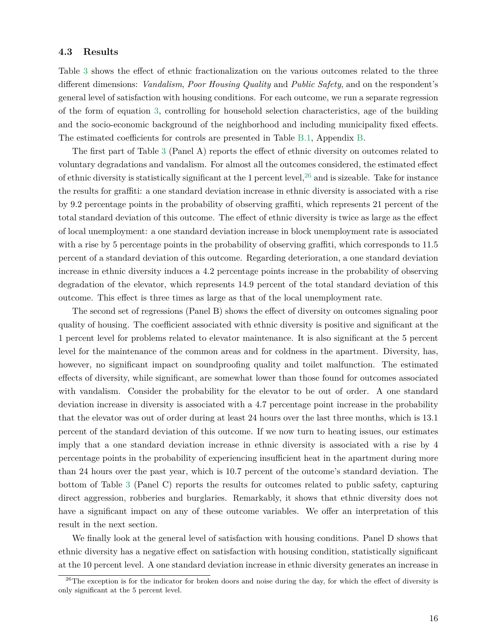#### **4.3 Results**

Table 3 shows the effect of ethnic fractionalization on the various outcomes related to the three different dimensions: *Vandalism*, *Poor Housing Quality* and *Public Safety*, and on the respondent's general level of satisfaction with housing conditions. For each outcome, we run a separate regression of the form of equation 3, controlling for household selection characteristics, age of the building and the socio-economic background of the neighborhood and including municipality fixed effects. The estimated coefficients for controls are presented in Table B.1, Appendix B.

The first part of Table 3 (Panel A) reports the effect of ethnic diversity on outcomes related to voluntary degradations and vandalism. For almost all the outcomes considered, the estimated effect of ethnic diversity is statistically significant at the 1 percent level,  $^{26}$  and is sizeable. Take for instance the results for graffiti: a one standard deviation increase in ethnic diversity is associated with a rise by 9.2 percentage points in the probability of observing graffiti, which represents 21 percent of the total standard deviation of this outcome. The effect of ethnic diversity is twice as large as the effect of local unemployment: a one standard deviation increase in block unemployment rate is associated with a rise by 5 percentage points in the probability of observing graffiti, which corresponds to 11.5 percent of a standard deviation of this outcome. Regarding deterioration, a one standard deviation increase in ethnic diversity induces a 4.2 percentage points increase in the probability of observing degradation of the elevator, which represents 14.9 percent of the total standard deviation of this outcome. This effect is three times as large as that of the local unemployment rate.

The second set of regressions (Panel B) shows the effect of diversity on outcomes signaling poor quality of housing. The coefficient associated with ethnic diversity is positive and significant at the 1 percent level for problems related to elevator maintenance. It is also significant at the 5 percent level for the maintenance of the common areas and for coldness in the apartment. Diversity, has, however, no significant impact on soundproofing quality and toilet malfunction. The estimated effects of diversity, while significant, are somewhat lower than those found for outcomes associated with vandalism. Consider the probability for the elevator to be out of order. A one standard deviation increase in diversity is associated with a 4.7 percentage point increase in the probability that the elevator was out of order during at least 24 hours over the last three months, which is 13.1 percent of the standard deviation of this outcome. If we now turn to heating issues, our estimates imply that a one standard deviation increase in ethnic diversity is associated with a rise by 4 percentage points in the probability of experiencing insufficient heat in the apartment during more than 24 hours over the past year, which is 10.7 percent of the outcome's standard deviation. The bottom of Table 3 (Panel C) reports the results for outcomes related to public safety, capturing direct aggression, robberies and burglaries. Remarkably, it shows that ethnic diversity does not have a significant impact on any of these outcome variables. We offer an interpretation of this result in the next section.

We finally look at the general level of satisfaction with housing conditions. Panel D shows that ethnic diversity has a negative effect on satisfaction with housing condition, statistically significant at the 10 percent level. A one standard deviation increase in ethnic diversity generates an increase in

 $26$ The exception is for the indicator for broken doors and noise during the day, for which the effect of diversity is only significant at the 5 percent level.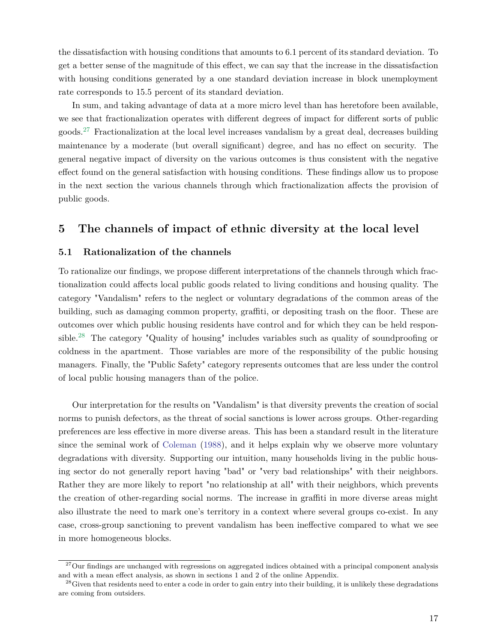the dissatisfaction with housing conditions that amounts to 6.1 percent of its standard deviation. To get a better sense of the magnitude of this effect, we can say that the increase in the dissatisfaction with housing conditions generated by a one standard deviation increase in block unemployment rate corresponds to 15.5 percent of its standard deviation.

In sum, and taking advantage of data at a more micro level than has heretofore been available, we see that fractionalization operates with different degrees of impact for different sorts of public goods.27 Fractionalization at the local level increases vandalism by a great deal, decreases building maintenance by a moderate (but overall significant) degree, and has no effect on security. The general negative impact of diversity on the various outcomes is thus consistent with the negative effect found on the general satisfaction with housing conditions. These findings allow us to propose in the next section the various channels through which fractionalization affects the provision of public goods.

### **5 The channels of impact of ethnic diversity at the local level**

#### **5.1 Rationalization of the channels**

To rationalize our findings, we propose different interpretations of the channels through which fractionalization could affects local public goods related to living conditions and housing quality. The category "Vandalism" refers to the neglect or voluntary degradations of the common areas of the building, such as damaging common property, graffiti, or depositing trash on the floor. These are outcomes over which public housing residents have control and for which they can be held responsible.28 The category "Quality of housing" includes variables such as quality of soundproofing or coldness in the apartment. Those variables are more of the responsibility of the public housing managers. Finally, the "Public Safety" category represents outcomes that are less under the control of local public housing managers than of the police.

Our interpretation for the results on "Vandalism" is that diversity prevents the creation of social norms to punish defectors, as the threat of social sanctions is lower across groups. Other-regarding preferences are less effective in more diverse areas. This has been a standard result in the literature since the seminal work of Coleman (1988), and it helps explain why we observe more voluntary degradations with diversity. Supporting our intuition, many households living in the public housing sector do not generally report having "bad" or "very bad relationships" with their neighbors. Rather they are more likely to report "no relationship at all" with their neighbors, which prevents the creation of other-regarding social norms. The increase in graffiti in more diverse areas might also illustrate the need to mark one's territory in a context where several groups co-exist. In any case, cross-group sanctioning to prevent vandalism has been ineffective compared to what we see in more homogeneous blocks.

 $27$ Our findings are unchanged with regressions on aggregated indices obtained with a principal component analysis and with a mean effect analysis, as shown in sections 1 and 2 of the online Appendix.

<sup>&</sup>lt;sup>28</sup>Given that residents need to enter a code in order to gain entry into their building, it is unlikely these degradations are coming from outsiders.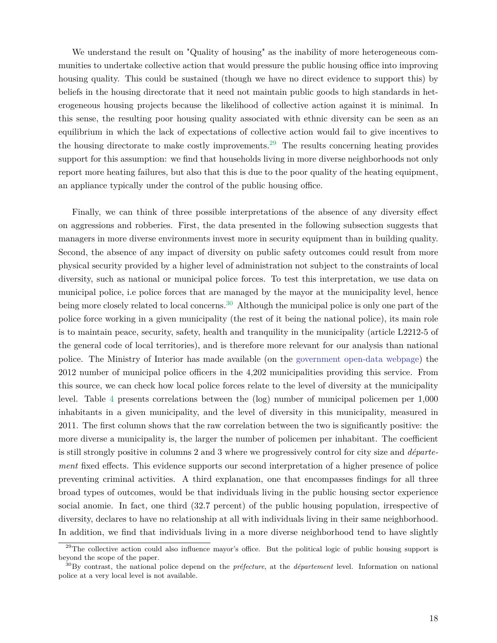We understand the result on "Quality of housing" as the inability of more heterogeneous communities to undertake collective action that would pressure the public housing office into improving housing quality. This could be sustained (though we have no direct evidence to support this) by beliefs in the housing directorate that it need not maintain public goods to high standards in heterogeneous housing projects because the likelihood of collective action against it is minimal. In this sense, the resulting poor housing quality associated with ethnic diversity can be seen as an equilibrium in which the lack of expectations of collective action would fail to give incentives to the housing directorate to make costly improvements.<sup>29</sup> The results concerning heating provides support for this assumption: we find that households living in more diverse neighborhoods not only report more heating failures, but also that this is due to the poor quality of the heating equipment, an appliance typically under the control of the public housing office.

Finally, we can think of three possible interpretations of the absence of any diversity effect on aggressions and robberies. First, the data presented in the following subsection suggests that managers in more diverse environments invest more in security equipment than in building quality. Second, the absence of any impact of diversity on public safety outcomes could result from more physical security provided by a higher level of administration not subject to the constraints of local diversity, such as national or municipal police forces. To test this interpretation, we use data on municipal police, i.e police forces that are managed by the mayor at the municipality level, hence being more closely related to local concerns.<sup>30</sup> Although the municipal police is only one part of the police force working in a given municipality (the rest of it being the national police), its main role is to maintain peace, security, safety, health and tranquility in the municipality (article L2212-5 of the general code of local territories), and is therefore more relevant for our analysis than national police. The Ministry of Interior has made available (on the [government open-data webpage\)](http://www.data.gouv.fr/fr/dataset/les-polices-municipales-par-commune) the 2012 number of municipal police officers in the 4,202 municipalities providing this service. From this source, we can check how local police forces relate to the level of diversity at the municipality level. Table 4 presents correlations between the (log) number of municipal policemen per 1,000 inhabitants in a given municipality, and the level of diversity in this municipality, measured in 2011. The first column shows that the raw correlation between the two is significantly positive: the more diverse a municipality is, the larger the number of policemen per inhabitant. The coefficient is still strongly positive in columns 2 and 3 where we progressively control for city size and *département* fixed effects. This evidence supports our second interpretation of a higher presence of police preventing criminal activities. A third explanation, one that encompasses findings for all three broad types of outcomes, would be that individuals living in the public housing sector experience social anomie. In fact, one third (32.7 percent) of the public housing population, irrespective of diversity, declares to have no relationship at all with individuals living in their same neighborhood. In addition, we find that individuals living in a more diverse neighborhood tend to have slightly

 $^{29}$ The collective action could also influence mayor's office. But the political logic of public housing support is beyond the scope of the paper.

<sup>30</sup>By contrast, the national police depend on the *préfecture*, at the *département* level. Information on national police at a very local level is not available.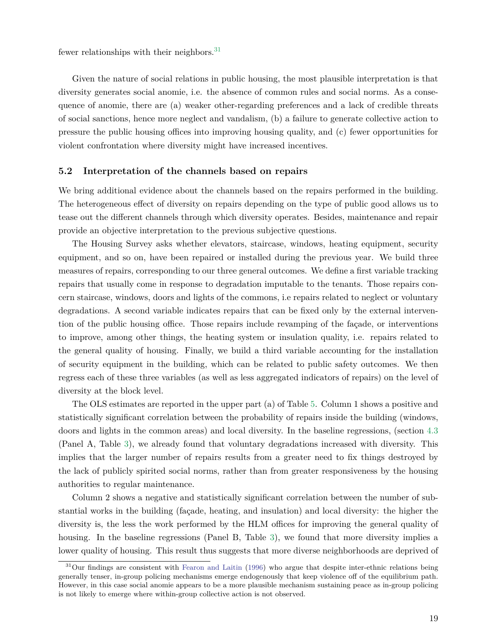fewer relationships with their neighbors.  $31$ 

Given the nature of social relations in public housing, the most plausible interpretation is that diversity generates social anomie, i.e. the absence of common rules and social norms. As a consequence of anomie, there are (a) weaker other-regarding preferences and a lack of credible threats of social sanctions, hence more neglect and vandalism, (b) a failure to generate collective action to pressure the public housing offices into improving housing quality, and (c) fewer opportunities for violent confrontation where diversity might have increased incentives.

#### **5.2 Interpretation of the channels based on repairs**

We bring additional evidence about the channels based on the repairs performed in the building. The heterogeneous effect of diversity on repairs depending on the type of public good allows us to tease out the different channels through which diversity operates. Besides, maintenance and repair provide an objective interpretation to the previous subjective questions.

The Housing Survey asks whether elevators, staircase, windows, heating equipment, security equipment, and so on, have been repaired or installed during the previous year. We build three measures of repairs, corresponding to our three general outcomes. We define a first variable tracking repairs that usually come in response to degradation imputable to the tenants. Those repairs concern staircase, windows, doors and lights of the commons, i.e repairs related to neglect or voluntary degradations. A second variable indicates repairs that can be fixed only by the external intervention of the public housing office. Those repairs include revamping of the façade, or interventions to improve, among other things, the heating system or insulation quality, i.e. repairs related to the general quality of housing. Finally, we build a third variable accounting for the installation of security equipment in the building, which can be related to public safety outcomes. We then regress each of these three variables (as well as less aggregated indicators of repairs) on the level of diversity at the block level.

The OLS estimates are reported in the upper part (a) of Table 5. Column 1 shows a positive and statistically significant correlation between the probability of repairs inside the building (windows, doors and lights in the common areas) and local diversity. In the baseline regressions, (section 4.3 (Panel A, Table 3), we already found that voluntary degradations increased with diversity. This implies that the larger number of repairs results from a greater need to fix things destroyed by the lack of publicly spirited social norms, rather than from greater responsiveness by the housing authorities to regular maintenance.

Column 2 shows a negative and statistically significant correlation between the number of substantial works in the building (façade, heating, and insulation) and local diversity: the higher the diversity is, the less the work performed by the HLM offices for improving the general quality of housing. In the baseline regressions (Panel B, Table 3), we found that more diversity implies a lower quality of housing. This result thus suggests that more diverse neighborhoods are deprived of

<sup>&</sup>lt;sup>31</sup>Our findings are consistent with Fearon and Laitin (1996) who argue that despite inter-ethnic relations being generally tenser, in-group policing mechanisms emerge endogenously that keep violence off of the equilibrium path. However, in this case social anomie appears to be a more plausible mechanism sustaining peace as in-group policing is not likely to emerge where within-group collective action is not observed.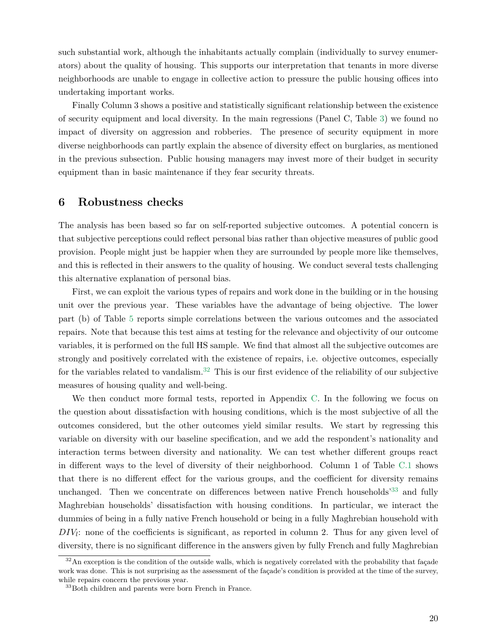such substantial work, although the inhabitants actually complain (individually to survey enumerators) about the quality of housing. This supports our interpretation that tenants in more diverse neighborhoods are unable to engage in collective action to pressure the public housing offices into undertaking important works.

Finally Column 3 shows a positive and statistically significant relationship between the existence of security equipment and local diversity. In the main regressions (Panel C, Table 3) we found no impact of diversity on aggression and robberies. The presence of security equipment in more diverse neighborhoods can partly explain the absence of diversity effect on burglaries, as mentioned in the previous subsection. Public housing managers may invest more of their budget in security equipment than in basic maintenance if they fear security threats.

### **6 Robustness checks**

The analysis has been based so far on self-reported subjective outcomes. A potential concern is that subjective perceptions could reflect personal bias rather than objective measures of public good provision. People might just be happier when they are surrounded by people more like themselves, and this is reflected in their answers to the quality of housing. We conduct several tests challenging this alternative explanation of personal bias.

First, we can exploit the various types of repairs and work done in the building or in the housing unit over the previous year. These variables have the advantage of being objective. The lower part (b) of Table 5 reports simple correlations between the various outcomes and the associated repairs. Note that because this test aims at testing for the relevance and objectivity of our outcome variables, it is performed on the full HS sample. We find that almost all the subjective outcomes are strongly and positively correlated with the existence of repairs, i.e. objective outcomes, especially for the variables related to vandalism.<sup>32</sup> This is our first evidence of the reliability of our subjective measures of housing quality and well-being.

We then conduct more formal tests, reported in Appendix C. In the following we focus on the question about dissatisfaction with housing conditions, which is the most subjective of all the outcomes considered, but the other outcomes yield similar results. We start by regressing this variable on diversity with our baseline specification, and we add the respondent's nationality and interaction terms between diversity and nationality. We can test whether different groups react in different ways to the level of diversity of their neighborhood. Column 1 of Table C.1 shows that there is no different effect for the various groups, and the coefficient for diversity remains unchanged. Then we concentrate on differences between native French households<sup>33</sup> and fully Maghrebian households' dissatisfaction with housing conditions. In particular, we interact the dummies of being in a fully native French household or being in a fully Maghrebian household with *DIV*<sub>*l*</sub>: none of the coefficients is significant, as reported in column 2. Thus for any given level of diversity, there is no significant difference in the answers given by fully French and fully Maghrebian

 $32$ An exception is the condition of the outside walls, which is negatively correlated with the probability that façade work was done. This is not surprising as the assessment of the façade's condition is provided at the time of the survey, while repairs concern the previous year.

<sup>&</sup>lt;sup>33</sup>Both children and parents were born French in France.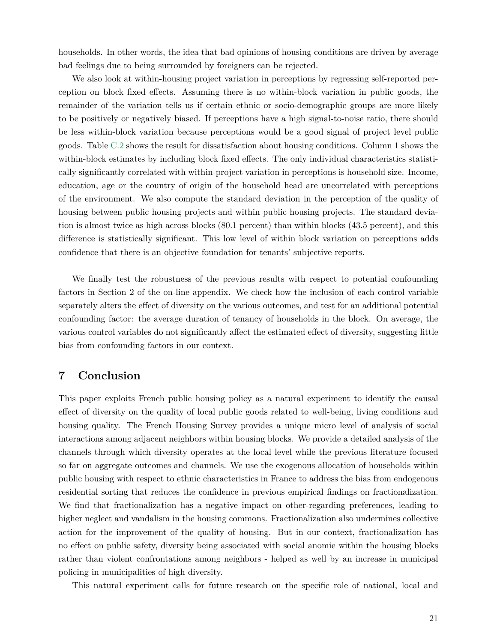households. In other words, the idea that bad opinions of housing conditions are driven by average bad feelings due to being surrounded by foreigners can be rejected.

We also look at within-housing project variation in perceptions by regressing self-reported perception on block fixed effects. Assuming there is no within-block variation in public goods, the remainder of the variation tells us if certain ethnic or socio-demographic groups are more likely to be positively or negatively biased. If perceptions have a high signal-to-noise ratio, there should be less within-block variation because perceptions would be a good signal of project level public goods. Table C.2 shows the result for dissatisfaction about housing conditions. Column 1 shows the within-block estimates by including block fixed effects. The only individual characteristics statistically significantly correlated with within-project variation in perceptions is household size. Income, education, age or the country of origin of the household head are uncorrelated with perceptions of the environment. We also compute the standard deviation in the perception of the quality of housing between public housing projects and within public housing projects. The standard deviation is almost twice as high across blocks (80.1 percent) than within blocks (43.5 percent), and this difference is statistically significant. This low level of within block variation on perceptions adds confidence that there is an objective foundation for tenants' subjective reports.

We finally test the robustness of the previous results with respect to potential confounding factors in Section 2 of the on-line appendix. We check how the inclusion of each control variable separately alters the effect of diversity on the various outcomes, and test for an additional potential confounding factor: the average duration of tenancy of households in the block. On average, the various control variables do not significantly affect the estimated effect of diversity, suggesting little bias from confounding factors in our context.

## **7 Conclusion**

This paper exploits French public housing policy as a natural experiment to identify the causal effect of diversity on the quality of local public goods related to well-being, living conditions and housing quality. The French Housing Survey provides a unique micro level of analysis of social interactions among adjacent neighbors within housing blocks. We provide a detailed analysis of the channels through which diversity operates at the local level while the previous literature focused so far on aggregate outcomes and channels. We use the exogenous allocation of households within public housing with respect to ethnic characteristics in France to address the bias from endogenous residential sorting that reduces the confidence in previous empirical findings on fractionalization. We find that fractionalization has a negative impact on other-regarding preferences, leading to higher neglect and vandalism in the housing commons. Fractionalization also undermines collective action for the improvement of the quality of housing. But in our context, fractionalization has no effect on public safety, diversity being associated with social anomie within the housing blocks rather than violent confrontations among neighbors - helped as well by an increase in municipal policing in municipalities of high diversity.

This natural experiment calls for future research on the specific role of national, local and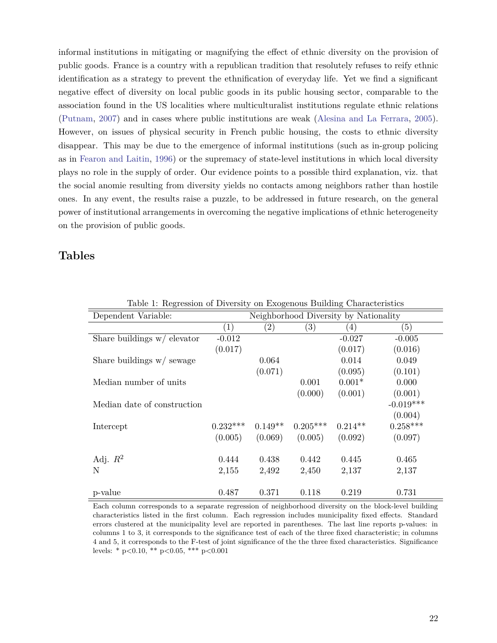informal institutions in mitigating or magnifying the effect of ethnic diversity on the provision of public goods. France is a country with a republican tradition that resolutely refuses to reify ethnic identification as a strategy to prevent the ethnification of everyday life. Yet we find a significant negative effect of diversity on local public goods in its public housing sector, comparable to the association found in the US localities where multiculturalist institutions regulate ethnic relations (Putnam, 2007) and in cases where public institutions are weak (Alesina and La Ferrara, 2005). However, on issues of physical security in French public housing, the costs to ethnic diversity disappear. This may be due to the emergence of informal institutions (such as in-group policing as in Fearon and Laitin, 1996) or the supremacy of state-level institutions in which local diversity plays no role in the supply of order. Our evidence points to a possible third explanation, viz. that the social anomie resulting from diversity yields no contacts among neighbors rather than hostile ones. In any event, the results raise a puzzle, to be addressed in future research, on the general power of institutional arrangements in overcoming the negative implications of ethnic heterogeneity on the provision of public goods.

### **Tables**

| $1000$ $1000$ $1000$ $101$ $1000$<br>on Enogonous Bunding Ontartotonios |                   |                   |                                       |           |             |  |
|-------------------------------------------------------------------------|-------------------|-------------------|---------------------------------------|-----------|-------------|--|
| Dependent Variable:                                                     |                   |                   | Neighborhood Diversity by Nationality |           |             |  |
|                                                                         | $\left( 1\right)$ | $\left( 2\right)$ | (3)                                   | (4)       | (5)         |  |
| Share buildings $w/$ elevator                                           | $-0.012$          |                   |                                       | $-0.027$  | $-0.005$    |  |
|                                                                         | (0.017)           |                   |                                       | (0.017)   | (0.016)     |  |
| Share buildings $w/$ sewage                                             |                   | 0.064             |                                       | 0.014     | 0.049       |  |
|                                                                         |                   | (0.071)           |                                       | (0.095)   | (0.101)     |  |
| Median number of units                                                  |                   |                   | 0.001                                 | $0.001*$  | 0.000       |  |
|                                                                         |                   |                   | (0.000)                               | (0.001)   | (0.001)     |  |
| Median date of construction                                             |                   |                   |                                       |           | $-0.019***$ |  |
|                                                                         |                   |                   |                                       |           | (0.004)     |  |
| Intercept                                                               | $0.232***$        | $0.149**$         | $0.205***$                            | $0.214**$ | $0.258***$  |  |
|                                                                         | (0.005)           | (0.069)           | (0.005)                               | (0.092)   | (0.097)     |  |
|                                                                         |                   |                   |                                       |           |             |  |
| Adj. $R^2$                                                              | 0.444             | 0.438             | 0.442                                 | 0.445     | 0.465       |  |
| N                                                                       | 2,155             | 2,492             | 2,450                                 | 2,137     | 2,137       |  |
|                                                                         |                   |                   |                                       |           |             |  |
| p-value                                                                 | 0.487             | 0.371             | 0.118                                 | 0.219     | 0.731       |  |

Table 1: Regression of Diversity on Exogenous Building Characteristics

Each column corresponds to a separate regression of neighborhood diversity on the block-level building characteristics listed in the first column. Each regression includes municipality fixed effects. Standard errors clustered at the municipality level are reported in parentheses. The last line reports p-values: in columns 1 to 3, it corresponds to the significance test of each of the three fixed characteristic; in columns 4 and 5, it corresponds to the F-test of joint significance of the the three fixed characteristics. Significance levels: \*  $p<0.10$ , \*\*  $p<0.05$ , \*\*\*  $p<0.001$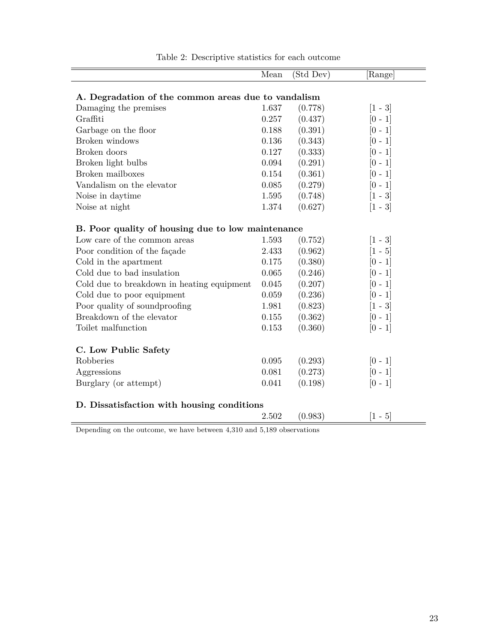|                                                     | Mean  | (Std Dev) | $[\mathrm{Range}]$ |
|-----------------------------------------------------|-------|-----------|--------------------|
|                                                     |       |           |                    |
| A. Degradation of the common areas due to vandalism |       |           |                    |
| Damaging the premises                               | 1.637 | (0.778)   | $[1 - 3]$          |
| Graffiti                                            | 0.257 | (0.437)   | $[0 - 1]$          |
| Garbage on the floor                                | 0.188 | (0.391)   | $[0 - 1]$          |
| Broken windows                                      | 0.136 | (0.343)   | $[0 - 1]$          |
| Broken doors                                        | 0.127 | (0.333)   | $[0 - 1]$          |
| Broken light bulbs                                  | 0.094 | (0.291)   | $[0 - 1]$          |
| Broken mailboxes                                    | 0.154 | (0.361)   | $[0 - 1]$          |
| Vandalism on the elevator                           | 0.085 | (0.279)   | $[0 - 1]$          |
| Noise in daytime                                    | 1.595 | (0.748)   | $[1 - 3]$          |
| Noise at night                                      | 1.374 | (0.627)   | $[1 - 3]$          |
| B. Poor quality of housing due to low maintenance   |       |           |                    |
| Low care of the common areas                        | 1.593 | (0.752)   | $[1 - 3]$          |
| Poor condition of the façade                        | 2.433 | (0.962)   | $[1 - 5]$          |
| Cold in the apartment                               | 0.175 | (0.380)   | $[0 - 1]$          |
| Cold due to bad insulation                          | 0.065 | (0.246)   | $ 0 - 1 $          |
| Cold due to breakdown in heating equipment          | 0.045 | (0.207)   | $[0 - 1]$          |
| Cold due to poor equipment                          | 0.059 | (0.236)   | $[0 - 1]$          |
| Poor quality of soundproofing                       | 1.981 | (0.823)   | $[1 - 3]$          |
| Breakdown of the elevator                           | 0.155 | (0.362)   | $[0 - 1]$          |
| Toilet malfunction                                  | 0.153 | (0.360)   | $[0 - 1]$          |
|                                                     |       |           |                    |
| C. Low Public Safety                                |       |           |                    |
| Robberies                                           | 0.095 | (0.293)   | $[0 - 1]$          |
| Aggressions                                         | 0.081 | (0.273)   | $[0 - 1]$          |
| Burglary (or attempt)                               | 0.041 | (0.198)   | $[0 - 1]$          |
| D. Dissatisfaction with housing conditions          |       |           |                    |
|                                                     | 2.502 | (0.983)   | $[1 - 5]$          |

Table 2: Descriptive statistics for each outcome

Depending on the outcome, we have between 4,310 and 5,189 observations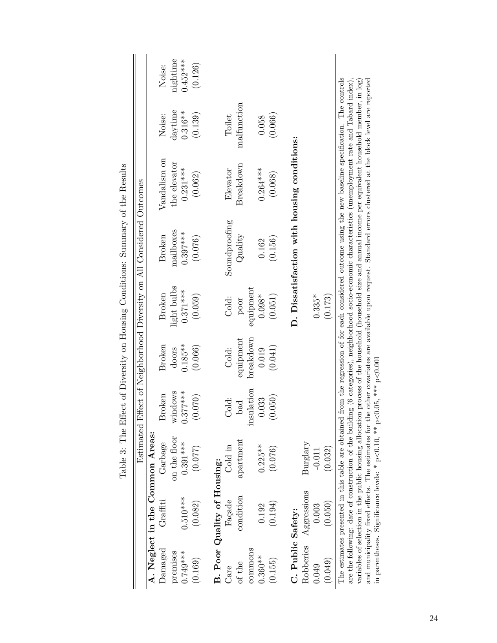|                   |                             |                                                                               |            |           |             | Table 3: The Effect of Diversity on Housing Conditions: Summary of the Results                                                                                                                                                                                                                                           |              |             |            |
|-------------------|-----------------------------|-------------------------------------------------------------------------------|------------|-----------|-------------|--------------------------------------------------------------------------------------------------------------------------------------------------------------------------------------------------------------------------------------------------------------------------------------------------------------------------|--------------|-------------|------------|
|                   |                             |                                                                               |            |           |             | Estimated Effect of Neighborhood Diversity on All Considered Outcomes                                                                                                                                                                                                                                                    |              |             |            |
|                   |                             | A. Neglect in the Common Areas:                                               |            |           |             |                                                                                                                                                                                                                                                                                                                          |              |             |            |
| $\rm{Danaged}$    | Graffti                     | Garbage                                                                       | Broken     | Broken    | Broken      | Broken                                                                                                                                                                                                                                                                                                                   | Vandalism on | Noise:      | Noise:     |
| premises          |                             | on the floor                                                                  | windows    | doors     | light bulbs | mailboxes                                                                                                                                                                                                                                                                                                                | the elevator | daytime     | nightime   |
| $0.749***$        | $0.510***$                  | $0.391***$                                                                    | $0.377***$ | $0.185**$ | $0.371***$  | $0.397***$                                                                                                                                                                                                                                                                                                               | $0.231***$   | $0.316**$   | $0.452***$ |
| (0.169)           | (0.082)                     | (0.077)                                                                       | 0.070(     | (0.066)   | (0.059)     | (0.076)                                                                                                                                                                                                                                                                                                                  | (0.062)      | (0.139)     | (0.126)    |
|                   | B. Poor Quality of Housing: |                                                                               |            |           |             |                                                                                                                                                                                                                                                                                                                          |              |             |            |
|                   |                             |                                                                               |            |           |             |                                                                                                                                                                                                                                                                                                                          |              |             |            |
| Care              | Façade                      | Cold in                                                                       | Cold:      | Cold:     | Cold:       | Soundproofing                                                                                                                                                                                                                                                                                                            | Elevator     | Toilet      |            |
| of the            | condition                   | apartment                                                                     | bad        | equipment | poor        | Quality                                                                                                                                                                                                                                                                                                                  | Breakdown    | malfunction |            |
| commons           |                             |                                                                               | insulation | breakdown | equipment   |                                                                                                                                                                                                                                                                                                                          |              |             |            |
| $0.360**$         | 0.192                       | $0.225***$                                                                    | 0.033      | 0.019     | $0.098*$    | 0.162                                                                                                                                                                                                                                                                                                                    | $0.264***$   | 0.058       |            |
| (0.155)           | (0.194)                     | (0.076)                                                                       | 0.050(     | (0.041)   | (0.051)     | (0.156)                                                                                                                                                                                                                                                                                                                  | (0.068)      | (0.066)     |            |
|                   |                             |                                                                               |            |           |             |                                                                                                                                                                                                                                                                                                                          |              |             |            |
| C. Public Safety: |                             |                                                                               |            |           |             | D. Dissatisfaction with housing conditions:                                                                                                                                                                                                                                                                              |              |             |            |
| Robberies         | Aggressions                 | Burglary                                                                      |            |           |             |                                                                                                                                                                                                                                                                                                                          |              |             |            |
| 0.049             | 0.003                       | $-0.011$                                                                      |            |           | $0.335*$    |                                                                                                                                                                                                                                                                                                                          |              |             |            |
| (0.049)           | (0.050)                     | (0.032)                                                                       |            |           | (0.173)     |                                                                                                                                                                                                                                                                                                                          |              |             |            |
|                   |                             | The estimates presented in this table are obtained                            |            |           |             | from the regression of for each considered outcome using the new baseline specification. The controls                                                                                                                                                                                                                    |              |             |            |
|                   |                             |                                                                               |            |           |             | are the following: date of construction of the building (6 categories), neighborhood socio-economic characteristics (unemployment rate and Tabard index),<br>variables of selection in the public housing allocation process of the household (household size and annual income per equivalent household member, in log) |              |             |            |
|                   |                             | in parentheses. Significance levels: * $p<0.10$ , ** $p<0.05$ , *** $p<0.001$ |            |           |             | and municipality fixed effects. The estimates for the other covariates are available upon request. Standard errors clustered at the block level are reported                                                                                                                                                             |              |             |            |
|                   |                             |                                                                               |            |           |             |                                                                                                                                                                                                                                                                                                                          |              |             |            |

 $\mathfrak{c}$ ł,  $\frac{1}{4}$  $\vec{c}$ ÷  $\zeta$  $\mathbf{r}$  $\int$  $\epsilon$ j  $\overline{E}$  $\dot{\sigma}$  $T_{\alpha}$   $L_{\alpha}$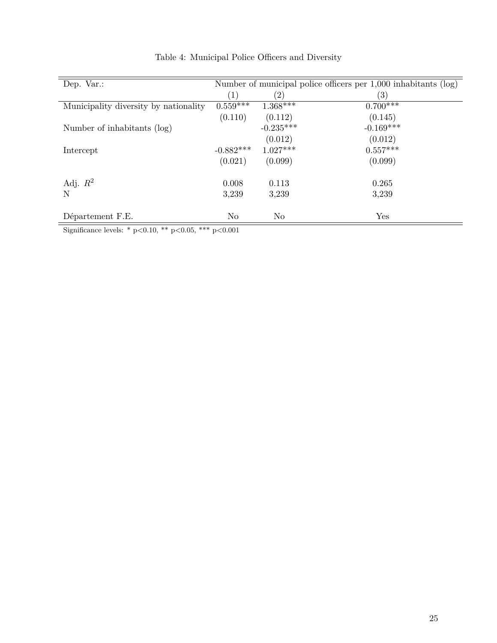| Dep. Var.:                            |                  |             | Number of municipal police officers per $1,000$ inhabitants (log) |
|---------------------------------------|------------------|-------------|-------------------------------------------------------------------|
|                                       | $\left(1\right)$ | (2)         | (3)                                                               |
| Municipality diversity by nationality | $0.559***$       | $1.368***$  | $0.700***$                                                        |
|                                       | (0.110)          | (0.112)     | (0.145)                                                           |
| Number of inhabitants (log)           |                  | $-0.235***$ | $-0.169***$                                                       |
|                                       |                  | (0.012)     | (0.012)                                                           |
| Intercept                             | $-0.882***$      | $1.027***$  | $0.557***$                                                        |
|                                       | (0.021)          | (0.099)     | (0.099)                                                           |
| Adj. $R^2$                            | 0.008            | 0.113       | 0.265                                                             |
| N                                     | 3,239            | 3,239       | 3,239                                                             |
| Département F.E.                      | No               | No          | Yes                                                               |

Table 4: Municipal Police Officers and Diversity

Significance levels: \* p<0.10, \*\* p<0.05, \*\*\* p<0.001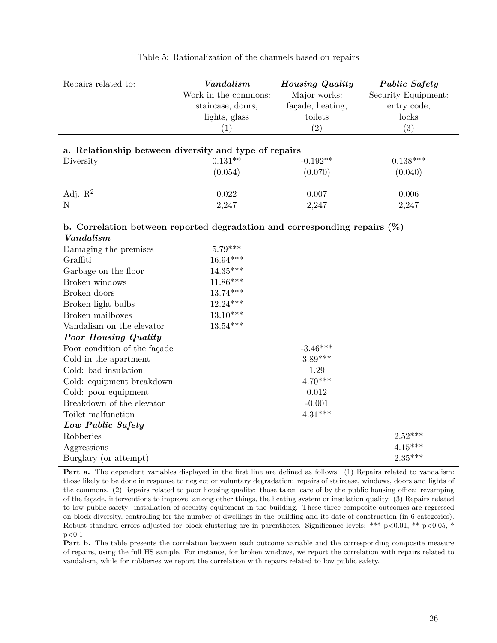| Repairs related to:                                                          | Vandalism            | <b>Housing Quality</b> | <b>Public Safety</b> |
|------------------------------------------------------------------------------|----------------------|------------------------|----------------------|
|                                                                              | Work in the commons: | Major works:           | Security Equipment:  |
|                                                                              | staircase, doors,    | façade, heating,       | entry code,          |
|                                                                              | lights, glass        | toilets                | locks                |
|                                                                              | (1)                  | (2)                    | (3)                  |
| a. Relationship between diversity and type of repairs                        |                      |                        |                      |
| Diversity                                                                    | $0.131**$            | $-0.192**$             | $0.138***$           |
|                                                                              | (0.054)              | (0.070)                | (0.040)              |
|                                                                              |                      |                        |                      |
| Adj. $R^2$                                                                   | 0.022                | 0.007                  | 0.006                |
| $\mathbf N$                                                                  | 2,247                | 2,247                  | 2,247                |
|                                                                              |                      |                        |                      |
| b. Correlation between reported degradation and corresponding repairs $(\%)$ |                      |                        |                      |
| Vandalism                                                                    |                      |                        |                      |
| Damaging the premises                                                        | $5.79***$            |                        |                      |
| Graffiti                                                                     | 16.94***             |                        |                      |
| Garbage on the floor                                                         | $14.35***$           |                        |                      |
| Broken windows                                                               | $11.86***$           |                        |                      |
| Broken doors                                                                 | $13.74***$           |                        |                      |
| Broken light bulbs                                                           | $12.24***$           |                        |                      |
| Broken mailboxes                                                             | $13.10***$           |                        |                      |
| Vandalism on the elevator                                                    | $13.54***$           |                        |                      |
| <b>Poor Housing Quality</b>                                                  |                      |                        |                      |
| Poor condition of the façade                                                 |                      | $-3.46***$             |                      |
| Cold in the apartment                                                        |                      | $3.89***$              |                      |
| Cold: bad insulation                                                         |                      | 1.29                   |                      |
| Cold: equipment breakdown                                                    |                      | $4.70***$              |                      |
| Cold: poor equipment                                                         |                      | 0.012                  |                      |
| Breakdown of the elevator                                                    |                      | $-0.001$               |                      |
| Toilet malfunction                                                           |                      | $4.31***$              |                      |
| Low Public Safety                                                            |                      |                        |                      |
| Robberies                                                                    |                      |                        | $2.52***$            |
| Aggressions                                                                  |                      |                        | $4.15***$            |
| Burglary (or attempt)                                                        |                      |                        | $2.35***$            |

Table 5: Rationalization of the channels based on repairs

**Part a.** The dependent variables displayed in the first line are defined as follows. (1) Repairs related to vandalism: those likely to be done in response to neglect or voluntary degradation: repairs of staircase, windows, doors and lights of the commons. (2) Repairs related to poor housing quality: those taken care of by the public housing office: revamping of the façade, interventions to improve, among other things, the heating system or insulation quality. (3) Repairs related to low public safety: installation of security equipment in the building. These three composite outcomes are regressed on block diversity, controlling for the number of dwellings in the building and its date of construction (in 6 categories). Robust standard errors adjusted for block clustering are in parentheses. Significance levels: \*\*\*  $p<0.01$ , \*\*  $p<0.05$ , \*  $p<0.1$ 

**Part b.** The table presents the correlation between each outcome variable and the corresponding composite measure of repairs, using the full HS sample. For instance, for broken windows, we report the correlation with repairs related to vandalism, while for robberies we report the correlation with repairs related to low public safety.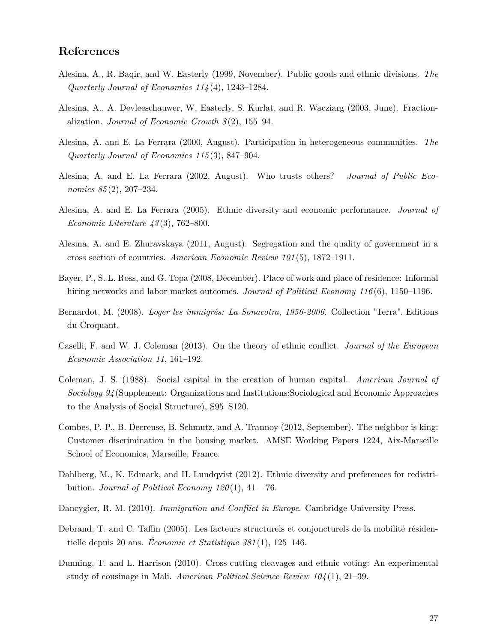## **References**

- Alesina, A., R. Baqir, and W. Easterly (1999, November). Public goods and ethnic divisions. *The Quarterly Journal of Economics 114* (4), 1243–1284.
- Alesina, A., A. Devleeschauwer, W. Easterly, S. Kurlat, and R. Wacziarg (2003, June). Fractionalization. *Journal of Economic Growth 8* (2), 155–94.
- Alesina, A. and E. La Ferrara (2000, August). Participation in heterogeneous communities. *The Quarterly Journal of Economics 115* (3), 847–904.
- Alesina, A. and E. La Ferrara (2002, August). Who trusts others? *Journal of Public Economics 85* (2), 207–234.
- Alesina, A. and E. La Ferrara (2005). Ethnic diversity and economic performance. *Journal of Economic Literature 43* (3), 762–800.
- Alesina, A. and E. Zhuravskaya (2011, August). Segregation and the quality of government in a cross section of countries. *American Economic Review 101* (5), 1872–1911.
- Bayer, P., S. L. Ross, and G. Topa (2008, December). Place of work and place of residence: Informal hiring networks and labor market outcomes. *Journal of Political Economy 116* (6), 1150–1196.
- Bernardot, M. (2008). *Loger les immigrés: La Sonacotra, 1956-2006*. Collection "Terra". Editions du Croquant.
- Caselli, F. and W. J. Coleman (2013). On the theory of ethnic conflict. *Journal of the European Economic Association 11*, 161–192.
- Coleman, J. S. (1988). Social capital in the creation of human capital. *American Journal of Sociology 94* (Supplement: Organizations and Institutions:Sociological and Economic Approaches to the Analysis of Social Structure), S95–S120.
- Combes, P.-P., B. Decreuse, B. Schmutz, and A. Trannoy (2012, September). The neighbor is king: Customer discrimination in the housing market. AMSE Working Papers 1224, Aix-Marseille School of Economics, Marseille, France.
- Dahlberg, M., K. Edmark, and H. Lundqvist (2012). Ethnic diversity and preferences for redistribution. *Journal of Political Economy 120* (1), 41 – 76.
- Dancygier, R. M. (2010). *Immigration and Conflict in Europe*. Cambridge University Press.
- Debrand, T. and C. Taffin (2005). Les facteurs structurels et conjoncturels de la mobilité résidentielle depuis 20 ans. *Économie et Statistique 381* (1), 125–146.
- Dunning, T. and L. Harrison (2010). Cross-cutting cleavages and ethnic voting: An experimental study of cousinage in Mali. *American Political Science Review 104* (1), 21–39.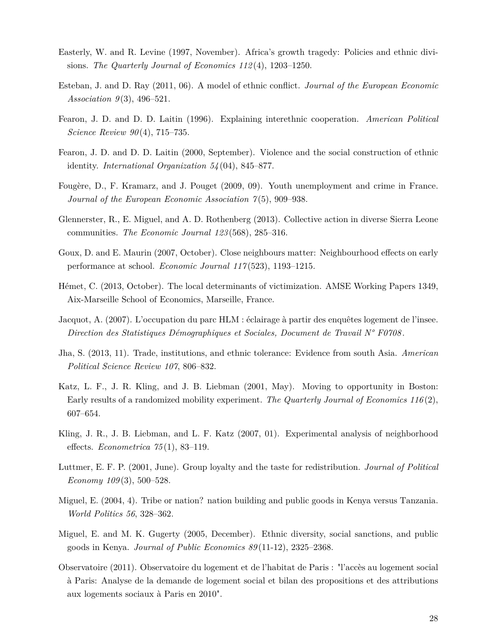- Easterly, W. and R. Levine (1997, November). Africa's growth tragedy: Policies and ethnic divisions. *The Quarterly Journal of Economics 112* (4), 1203–1250.
- Esteban, J. and D. Ray (2011, 06). A model of ethnic conflict. *Journal of the European Economic Association 9* (3), 496–521.
- Fearon, J. D. and D. D. Laitin (1996). Explaining interethnic cooperation. *American Political Science Review 90* (4), 715–735.
- Fearon, J. D. and D. D. Laitin (2000, September). Violence and the social construction of ethnic identity. *International Organization 54* (04), 845–877.
- Fougère, D., F. Kramarz, and J. Pouget (2009, 09). Youth unemployment and crime in France. *Journal of the European Economic Association 7* (5), 909–938.
- Glennerster, R., E. Miguel, and A. D. Rothenberg (2013). Collective action in diverse Sierra Leone communities. *The Economic Journal 123* (568), 285–316.
- Goux, D. and E. Maurin (2007, October). Close neighbours matter: Neighbourhood effects on early performance at school. *Economic Journal 117* (523), 1193–1215.
- Hémet, C. (2013, October). The local determinants of victimization. AMSE Working Papers 1349, Aix-Marseille School of Economics, Marseille, France.
- Jacquot, A. (2007). L'occupation du parc HLM : éclairage à partir des enquêtes logement de l'insee. *Direction des Statistiques Démographiques et Sociales, Document de Travail N° F0708* .
- Jha, S. (2013, 11). Trade, institutions, and ethnic tolerance: Evidence from south Asia. *American Political Science Review 107*, 806–832.
- Katz, L. F., J. R. Kling, and J. B. Liebman (2001, May). Moving to opportunity in Boston: Early results of a randomized mobility experiment. *The Quarterly Journal of Economics 116* (2), 607–654.
- Kling, J. R., J. B. Liebman, and L. F. Katz (2007, 01). Experimental analysis of neighborhood effects. *Econometrica 75* (1), 83–119.
- Luttmer, E. F. P. (2001, June). Group loyalty and the taste for redistribution. *Journal of Political Economy 109* (3), 500–528.
- Miguel, E. (2004, 4). Tribe or nation? nation building and public goods in Kenya versus Tanzania. *World Politics 56*, 328–362.
- Miguel, E. and M. K. Gugerty (2005, December). Ethnic diversity, social sanctions, and public goods in Kenya. *Journal of Public Economics 89* (11-12), 2325–2368.
- Observatoire (2011). Observatoire du logement et de l'habitat de Paris : "l'accès au logement social à Paris: Analyse de la demande de logement social et bilan des propositions et des attributions aux logements sociaux à Paris en 2010".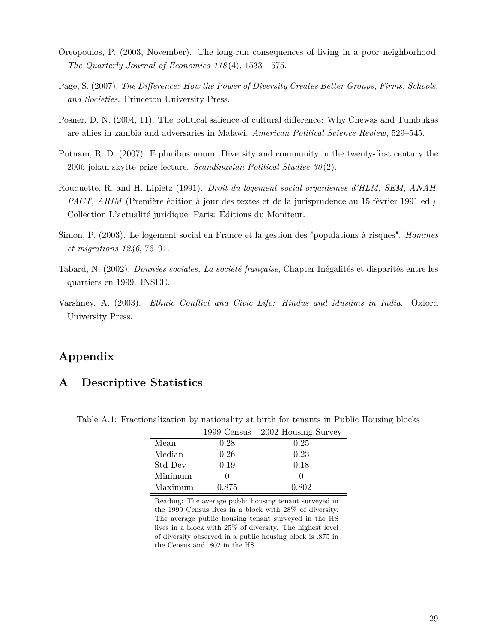- Oreopoulos, P. (2003, November). The long-run consequences of living in a poor neighborhood. *The Quarterly Journal of Economics 118* (4), 1533–1575.
- Page, S. (2007). *The Difference: How the Power of Diversity Creates Better Groups, Firms, Schools, and Societies*. Princeton University Press.
- Posner, D. N. (2004, 11). The political salience of cultural difference: Why Chewas and Tumbukas are allies in zambia and adversaries in Malawi. *American Political Science Review*, 529–545.
- Putnam, R. D. (2007). E pluribus unum: Diversity and community in the twenty-first century the 2006 johan skytte prize lecture. *Scandinavian Political Studies 30* (2).
- Rouquette, R. and H. Lipietz (1991). *Droit du logement social organismes d'HLM, SEM, ANAH, PACT, ARIM* (Première édition à jour des textes et de la jurisprudence au 15 février 1991 ed.). Collection L'actualité juridique. Paris: Éditions du Moniteur.
- Simon, P. (2003). Le logement social en France et la gestion des "populations à risques". *Hommes et migrations 1246*, 76–91.
- Tabard, N. (2002). *Données sociales, La société française*, Chapter Inégalités et disparités entre les quartiers en 1999. INSEE.
- Varshney, A. (2003). *Ethnic Conflict and Civic Life: Hindus and Muslims in India*. Oxford University Press.

## **Appendix**

## **A Descriptive Statistics**

|         | 1999 Census | 2002 Housing Survey |
|---------|-------------|---------------------|
| Mean    | 0.28        | 0.25                |
| Median  | 0.26        | 0.23                |
| Std Dev | 0.19        | 0.18                |
| Minimum |             |                     |
| Maximum | 0.875       | 0.802               |

Table A.1: Fractionalization by nationality at birth for tenants in Public Housing blocks

Reading: The average public housing tenant surveyed in the 1999 Census lives in a block with 28% of diversity. The average public housing tenant surveyed in the HS lives in a block with 25% of diversity. The highest level of diversity observed in a public housing block is .875 in the Census and .802 in the HS.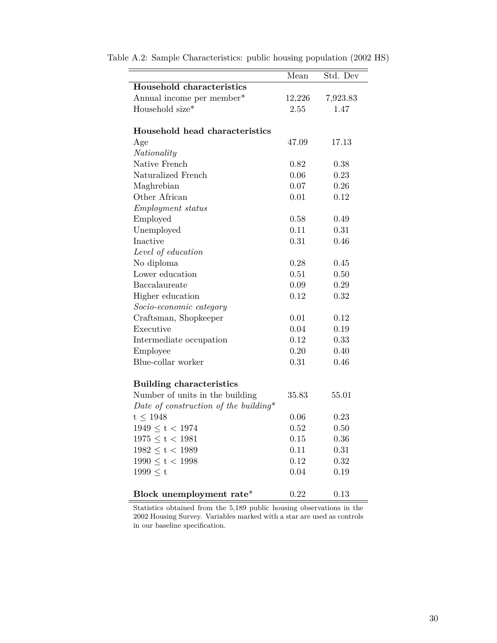|                                       | Mean   | Std. Dev |
|---------------------------------------|--------|----------|
| Household characteristics             |        |          |
| Annual income per member*             | 12,226 | 7,923.83 |
| Household size*                       | 2.55   | 1.47     |
|                                       |        |          |
| Household head characteristics        |        |          |
| Age                                   | 47.09  | 17.13    |
| Nationality                           |        |          |
| Native French                         | 0.82   | 0.38     |
| Naturalized French                    | 0.06   | 0.23     |
| Maghrebian                            | 0.07   | 0.26     |
| Other African                         | 0.01   | 0.12     |
| <i>Employment status</i>              |        |          |
| Employed                              | 0.58   | 0.49     |
| Unemployed                            | 0.11   | 0.31     |
| Inactive                              | 0.31   | 0.46     |
| Level of education                    |        |          |
| No diploma                            | 0.28   | 0.45     |
| Lower education                       | 0.51   | 0.50     |
| Baccalaureate                         | 0.09   | 0.29     |
| Higher education                      | 0.12   | 0.32     |
| Socio-economic category               |        |          |
| Craftsman, Shopkeeper                 | 0.01   | 0.12     |
| Executive                             | 0.04   | 0.19     |
| Intermediate occupation               | 0.12   | 0.33     |
| Employee                              | 0.20   | 0.40     |
| Blue-collar worker                    | 0.31   | 0.46     |
|                                       |        |          |
| <b>Building characteristics</b>       |        |          |
| Number of units in the building       | 35.83  | 55.01    |
| Date of construction of the building* |        |          |
| $t \leq 1948$                         | 0.06   | 0.23     |
| $1949 \le t < 1974$                   | 0.52   | 0.50     |
| $1975 \le t < 1981$                   | 0.15   | 0.36     |
| $1982 \le t < 1989$                   | 0.11   | 0.31     |
| $1990 \le t < 1998$                   | 0.12   | 0.32     |
| 1999 < t                              | 0.04   | 0.19     |
|                                       |        |          |
| Block unemployment rate*              | 0.22   | 0.13     |

Table A.2: Sample Characteristics: public housing population (2002 HS)

Statistics obtained from the 5,189 public housing observations in the 2002 Housing Survey. Variables marked with a star are used as controls in our baseline specification.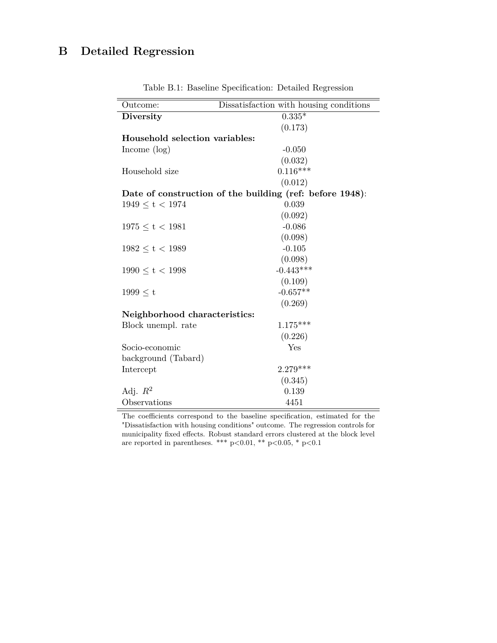# **B Detailed Regression**

| Outcome:                       | Dissatisfaction with housing conditions                  |
|--------------------------------|----------------------------------------------------------|
| <b>Diversity</b>               | $0.335*$                                                 |
|                                | (0.173)                                                  |
| Household selection variables: |                                                          |
| Income $(\log)$                | $-0.050$                                                 |
|                                | (0.032)                                                  |
| Household size                 | $0.116***$                                               |
|                                | (0.012)                                                  |
|                                | Date of construction of the building (ref: before 1948): |
| $1949 \le t < 1974$            | 0.039                                                    |
|                                | (0.092)                                                  |
| $1975 \le t < 1981$            | $-0.086$                                                 |
|                                | (0.098)                                                  |
| $1982 \le t < 1989$            | $-0.105$                                                 |
|                                | (0.098)                                                  |
| $1990 \le t < 1998$            | $-0.443***$                                              |
|                                | (0.109)                                                  |
| $1999 \leq t$                  | $-0.657**$                                               |
|                                | (0.269)                                                  |
| Neighborhood characteristics:  |                                                          |
| Block unempl. rate             | $1.175***$                                               |
|                                | (0.226)                                                  |
| Socio-economic                 | Yes                                                      |
| background (Tabard)            |                                                          |
| Intercept                      | $2.279***$                                               |
|                                | (0.345)                                                  |
| Adj. $R^2$                     | 0.139                                                    |
| Observations                   | 4451                                                     |

Table B.1: Baseline Specification: Detailed Regression

The coefficients correspond to the baseline specification, estimated for the "Dissatisfaction with housing conditions" outcome. The regression controls for municipality fixed effects. Robust standard errors clustered at the block level are reported in parentheses. \*\*\* p<0.01, \*\* p<0.05, \* p<0.1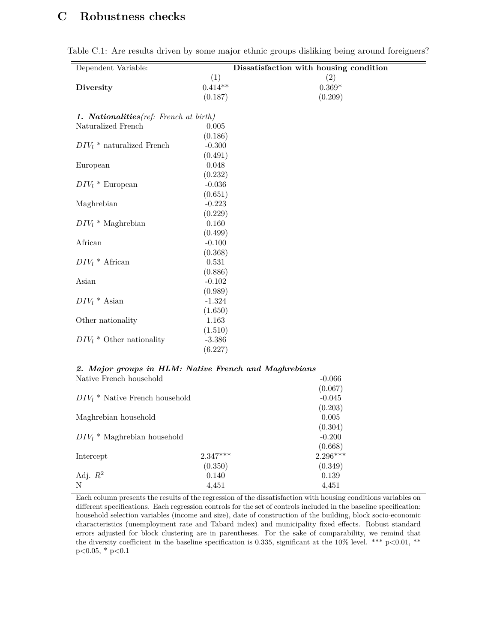## **C Robustness checks**

| Dependent Variable:                     |           | Dissatisfaction with housing condition |
|-----------------------------------------|-----------|----------------------------------------|
|                                         | (1)       | (2)                                    |
| <b>Diversity</b>                        | $0.414**$ | $0.369*$                               |
|                                         | (0.187)   | (0.209)                                |
|                                         |           |                                        |
| 1. Nationalities (ref: French at birth) |           |                                        |
| Naturalized French                      | 0.005     |                                        |
|                                         | (0.186)   |                                        |
| $DIV_l$ <sup>*</sup> naturalized French | $-0.300$  |                                        |
|                                         | (0.491)   |                                        |
| European                                | 0.048     |                                        |
|                                         | (0.232)   |                                        |
| $DIV_l * European$                      | $-0.036$  |                                        |
|                                         | (0.651)   |                                        |
| Maghrebian                              | $-0.223$  |                                        |
|                                         | (0.229)   |                                        |
| $DIV_l$ * Maghrebian                    | 0.160     |                                        |
|                                         | (0.499)   |                                        |
| African                                 | $-0.100$  |                                        |
|                                         | (0.368)   |                                        |
| $DIV_l * African$                       | 0.531     |                                        |
|                                         | (0.886)   |                                        |
| Asian                                   | $-0.102$  |                                        |
|                                         | (0.989)   |                                        |
| $DIV_l * Asian$                         | $-1.324$  |                                        |
|                                         | (1.650)   |                                        |
| Other nationality                       | 1.163     |                                        |
|                                         | (1.510)   |                                        |
| $DIV_l * Other$ nationality             | $-3.386$  |                                        |
|                                         | (6.227)   |                                        |
|                                         |           |                                        |

|  | Table C.1: Are results driven by some major ethnic groups disliking being around foreigners? |  |  |  |  |  |  |
|--|----------------------------------------------------------------------------------------------|--|--|--|--|--|--|
|  |                                                                                              |  |  |  |  |  |  |

#### *2. Major groups in HLM: Native French and Maghrebians* Native French household -0.066

| $DIV_l$ <sup>*</sup> Native French household |            | (0.067)<br>$-0.045$ |
|----------------------------------------------|------------|---------------------|
|                                              |            | (0.203)             |
| Maghrebian household                         |            | 0.005<br>(0.304)    |
| $DIV_l$ <sup>*</sup> Maghrebian household    |            | $-0.200$<br>(0.668) |
| Intercept                                    | $2.347***$ | $2.296***$          |
|                                              | (0.350)    | (0.349)             |
| Adj. $R^2$                                   | 0.140      | 0.139               |
| N                                            | 4,451      | 4,451               |

Each column presents the results of the regression of the dissatisfaction with housing conditions variables on different specifications. Each regression controls for the set of controls included in the baseline specification: household selection variables (income and size), date of construction of the building, block socio-economic characteristics (unemployment rate and Tabard index) and municipality fixed effects. Robust standard errors adjusted for block clustering are in parentheses. For the sake of comparability, we remind that the diversity coefficient in the baseline specification is 0.335, significant at the  $10\%$  level. \*\*\* p<0.01, \*\*  $p<0.05$ , \*  $p<0.1$